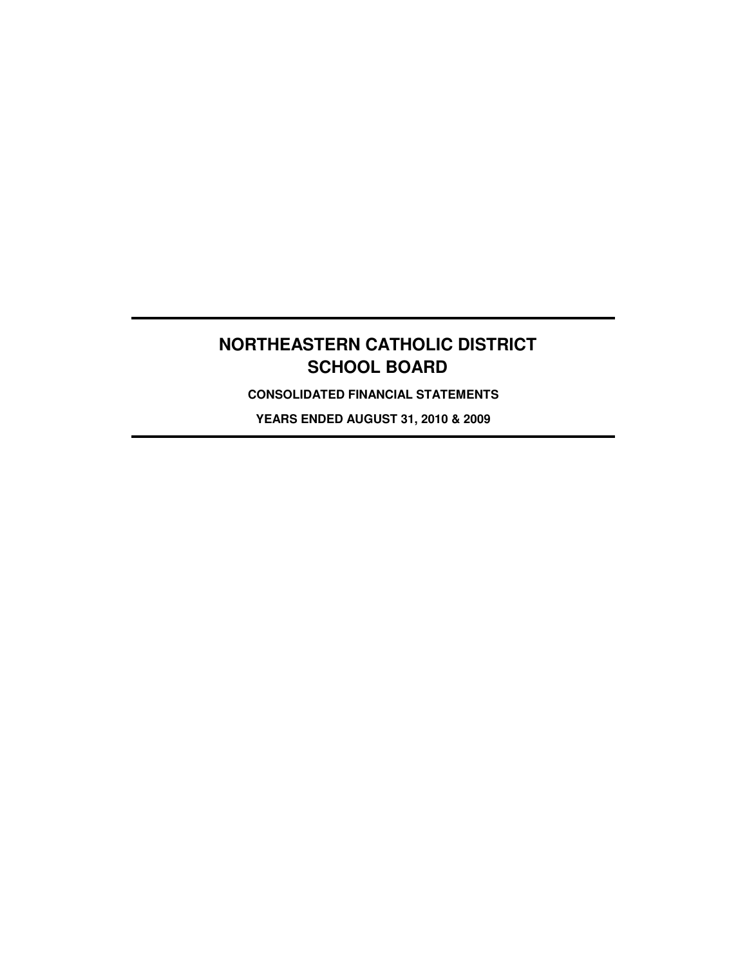**CONSOLIDATED FINANCIAL STATEMENTS**

**YEARS ENDED AUGUST 31, 2010 & 2009**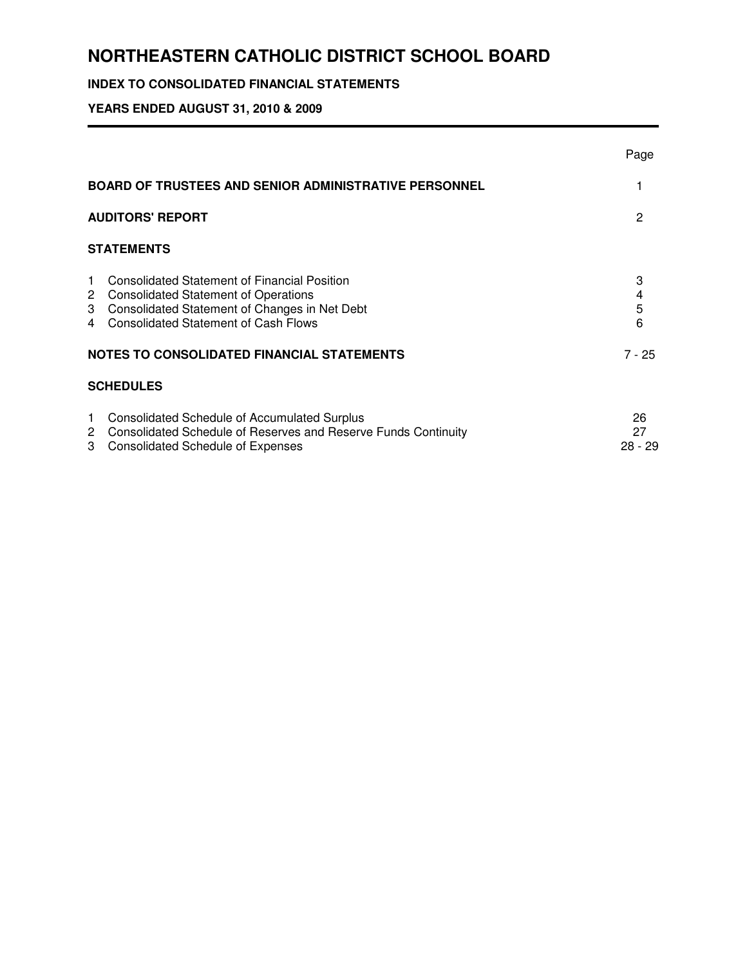## **INDEX TO CONSOLIDATED FINANCIAL STATEMENTS**

## **YEARS ENDED AUGUST 31, 2010 & 2009**

|                   |                                                                                                                                                                                            | Page                |
|-------------------|--------------------------------------------------------------------------------------------------------------------------------------------------------------------------------------------|---------------------|
|                   | <b>BOARD OF TRUSTEES AND SENIOR ADMINISTRATIVE PERSONNEL</b>                                                                                                                               |                     |
|                   | <b>AUDITORS' REPORT</b>                                                                                                                                                                    | 2                   |
|                   | <b>STATEMENTS</b>                                                                                                                                                                          |                     |
| $\mathbf 1$       | <b>Consolidated Statement of Financial Position</b><br>2 Consolidated Statement of Operations<br>3 Consolidated Statement of Changes in Net Debt<br>4 Consolidated Statement of Cash Flows | 3<br>4<br>5<br>6    |
|                   | NOTES TO CONSOLIDATED FINANCIAL STATEMENTS                                                                                                                                                 | $7 - 25$            |
|                   | <b>SCHEDULES</b>                                                                                                                                                                           |                     |
| $\mathbf{1}$<br>3 | <b>Consolidated Schedule of Accumulated Surplus</b><br>2 Consolidated Schedule of Reserves and Reserve Funds Continuity<br><b>Consolidated Schedule of Expenses</b>                        | 26<br>27<br>28 - 29 |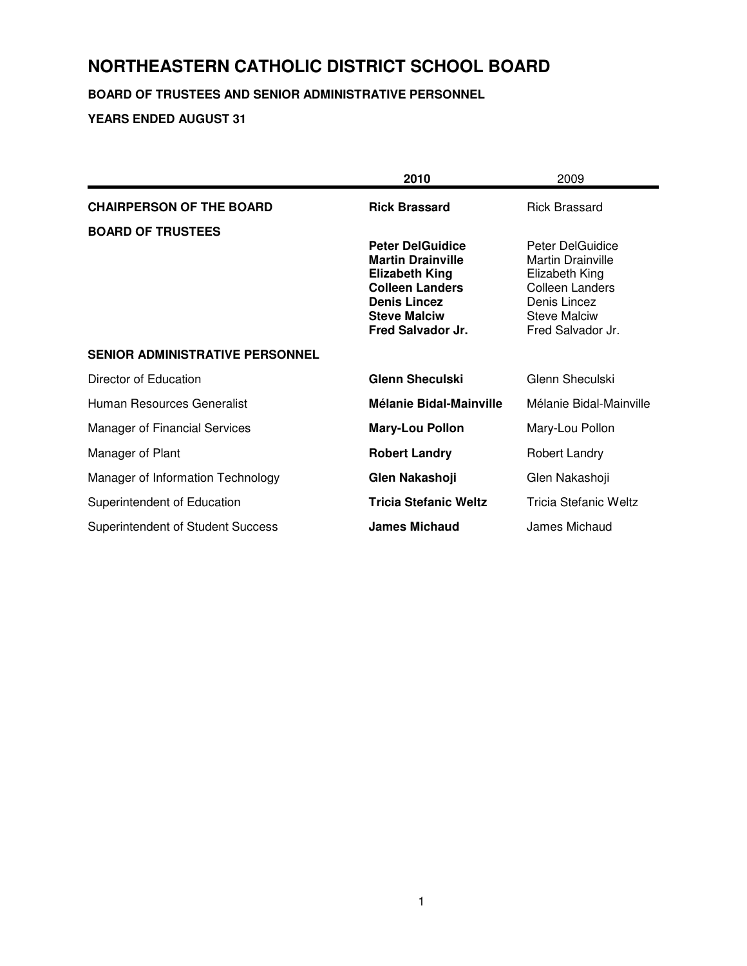## **BOARD OF TRUSTEES AND SENIOR ADMINISTRATIVE PERSONNEL**

|                                          | 2010                                              | 2009                                       |
|------------------------------------------|---------------------------------------------------|--------------------------------------------|
| <b>CHAIRPERSON OF THE BOARD</b>          | <b>Rick Brassard</b>                              | <b>Rick Brassard</b>                       |
| <b>BOARD OF TRUSTEES</b>                 |                                                   |                                            |
|                                          | <b>Peter DelGuidice</b>                           | Peter DelGuidice                           |
|                                          | <b>Martin Drainville</b><br><b>Elizabeth King</b> | <b>Martin Drainville</b><br>Elizabeth King |
|                                          | <b>Colleen Landers</b>                            | Colleen Landers                            |
|                                          | <b>Denis Lincez</b>                               | Denis Lincez                               |
|                                          | <b>Steve Malciw</b><br>Fred Salvador Jr.          | <b>Steve Malciw</b><br>Fred Salvador Jr.   |
|                                          |                                                   |                                            |
| <b>SENIOR ADMINISTRATIVE PERSONNEL</b>   |                                                   |                                            |
| Director of Education                    | <b>Glenn Sheculski</b>                            | Glenn Sheculski                            |
| Human Resources Generalist               | Mélanie Bidal-Mainville                           | Mélanie Bidal-Mainville                    |
| <b>Manager of Financial Services</b>     | <b>Mary-Lou Pollon</b>                            | Mary-Lou Pollon                            |
| Manager of Plant                         | <b>Robert Landry</b>                              | Robert Landry                              |
| Manager of Information Technology        | Glen Nakashoji                                    | Glen Nakashoji                             |
| Superintendent of Education              | <b>Tricia Stefanic Weltz</b>                      | Tricia Stefanic Weltz                      |
| <b>Superintendent of Student Success</b> | <b>James Michaud</b>                              | James Michaud                              |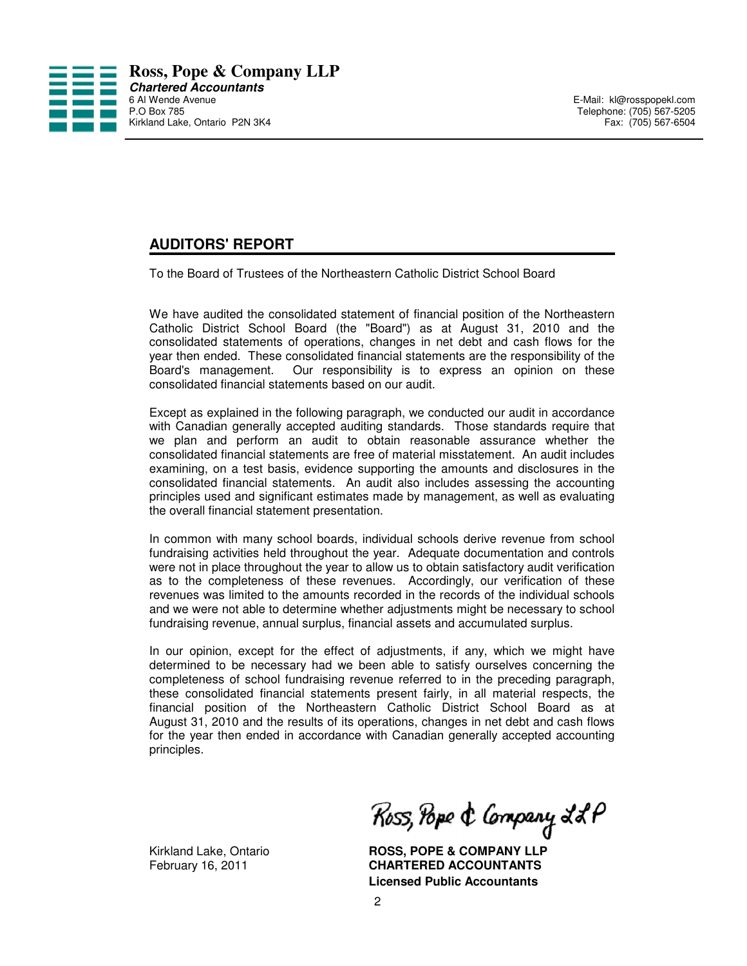

P. Telephone: (705) 567-5205<br>Fax: (705) 567-6504

## **AUDITORS' REPORT**

To the Board of Trustees of the Northeastern Catholic District School Board

We have audited the consolidated statement of financial position of the Northeastern Catholic District School Board (the "Board") as at August 31, 2010 and the consolidated statements of operations, changes in net debt and cash flows for the year then ended. These consolidated financial statements are the responsibility of the Board's management. Our responsibility is to express an opinion on these consolidated financial statements based on our audit.

Except as explained in the following paragraph, we conducted our audit in accordance with Canadian generally accepted auditing standards. Those standards require that we plan and perform an audit to obtain reasonable assurance whether the consolidated financial statements are free of material misstatement. An audit includes examining, on a test basis, evidence supporting the amounts and disclosures in the consolidated financial statements. An audit also includes assessing the accounting principles used and significant estimates made by management, as well as evaluating the overall financial statement presentation.

In common with many school boards, individual schools derive revenue from school fundraising activities held throughout the year. Adequate documentation and controls were not in place throughout the year to allow us to obtain satisfactory audit verification as to the completeness of these revenues. Accordingly, our verification of these revenues was limited to the amounts recorded in the records of the individual schools and we were not able to determine whether adjustments might be necessary to school fundraising revenue, annual surplus, financial assets and accumulated surplus.

In our opinion, except for the effect of adjustments, if any, which we might have determined to be necessary had we been able to satisfy ourselves concerning the completeness of school fundraising revenue referred to in the preceding paragraph, these consolidated financial statements present fairly, in all material respects, the financial position of the Northeastern Catholic District School Board as at August 31, 2010 and the results of its operations, changes in net debt and cash flows for the year then ended in accordance with Canadian generally accepted accounting principles.

Ross, Pope & Company LLP

Kirkland Lake, Ontario **ROSS, POPE & COMPANY LLP** February 16, 2011 **CHARTERED ACCOUNTANTS Licensed Public Accountants**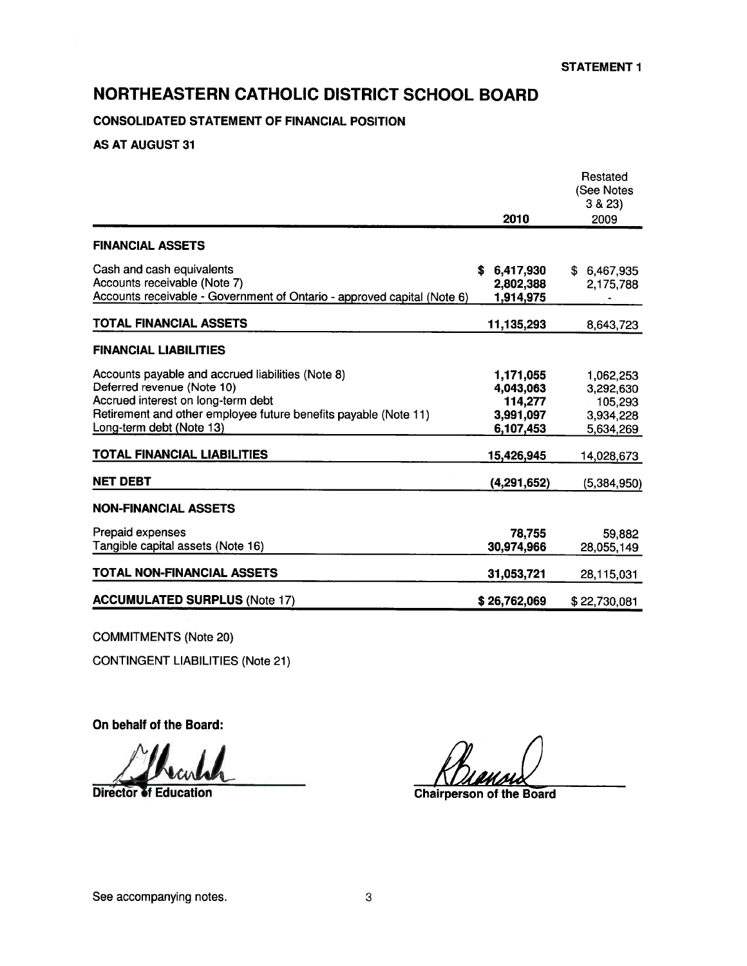## **CONSOLIDATED STATEMENT OF FINANCIAL POSITION**

## **AS AT AUGUST 31**

|                                                                         |              | Restated<br>(See Notes |
|-------------------------------------------------------------------------|--------------|------------------------|
|                                                                         |              | 3 & 23                 |
|                                                                         | 2010         | 2009                   |
| <b>FINANCIAL ASSETS</b>                                                 |              |                        |
| Cash and cash equivalents                                               | 6,417,930    | \$ 6,467,935           |
| Accounts receivable (Note 7)                                            | 2,802,388    | 2,175,788              |
| Accounts receivable - Government of Ontario - approved capital (Note 6) | 1,914,975    |                        |
| TOTAL FINANCIAL ASSETS                                                  | 11,135,293   | 8,643,723              |
| <b>FINANCIAL LIABILITIES</b>                                            |              |                        |
| Accounts payable and accrued liabilities (Note 8)                       | 1,171,055    | 1,062,253              |
| Deferred revenue (Note 10)                                              | 4,043,063    | 3,292,630              |
| Accrued interest on long-term debt                                      | 114,277      | 105,293                |
| Retirement and other employee future benefits payable (Note 11)         | 3,991,097    | 3,934,228              |
| Long-term debt (Note 13)                                                | 6,107,453    | 5,634,269              |
| TOTAL FINANCIAL LIABILITIES                                             | 15,426,945   | 14,028,673             |
| <b>NET DEBT</b>                                                         | (4,291,652)  | (5,384,950)            |
| <b>NON-FINANCIAL ASSETS</b>                                             |              |                        |
| Prepaid expenses                                                        | 78,755       | 59,882                 |
| Tangible capital assets (Note 16)                                       | 30,974,966   | 28,055,149             |
| TOTAL NON-FINANCIAL ASSETS                                              | 31,053,721   | 28,115,031             |
| <b>ACCUMULATED SURPLUS (Note 17)</b>                                    | \$26,762,069 | \$22,730,081           |

**COMMITMENTS (Note 20)** 

**CONTINGENT LIABILITIES (Note 21)** 

On behalf of the Board:

**Director of Education** 

**Chairperson of the Board**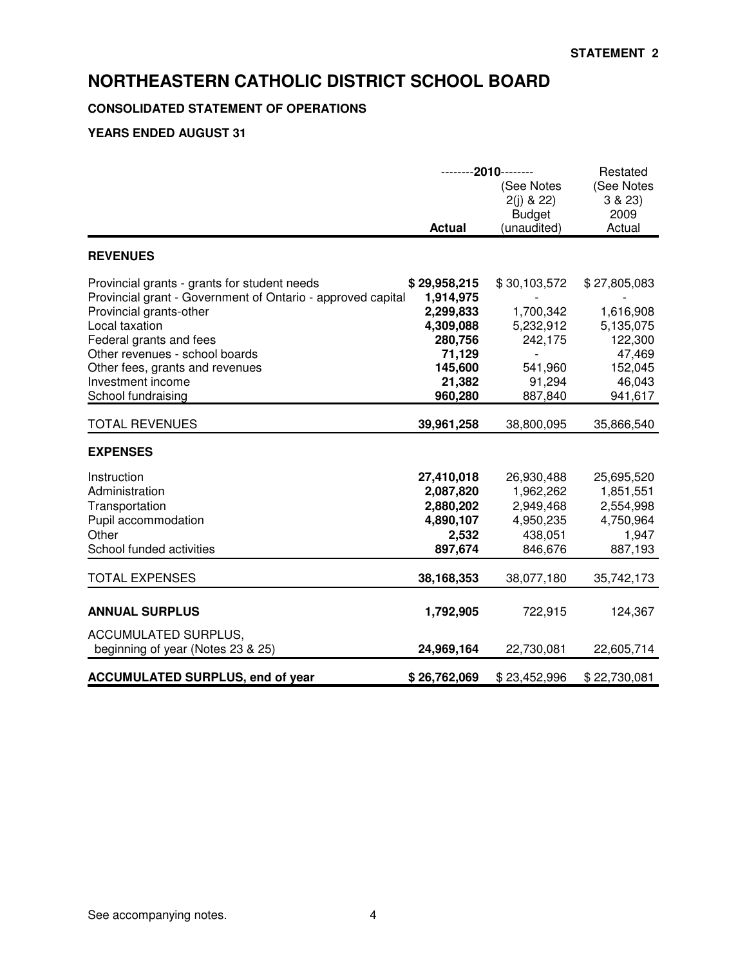## **CONSOLIDATED STATEMENT OF OPERATIONS**

|                                                                                                                                                                                                                                                                                                     | --------2010--------<br>(See Notes<br>$2(j)$ & 22)<br><b>Budget</b><br><b>Actual</b><br>(unaudited)      |                                                                                   | Restated<br>(See Notes<br>3 & 23<br>2009<br>Actual                                          |
|-----------------------------------------------------------------------------------------------------------------------------------------------------------------------------------------------------------------------------------------------------------------------------------------------------|----------------------------------------------------------------------------------------------------------|-----------------------------------------------------------------------------------|---------------------------------------------------------------------------------------------|
| <b>REVENUES</b>                                                                                                                                                                                                                                                                                     |                                                                                                          |                                                                                   |                                                                                             |
| Provincial grants - grants for student needs<br>Provincial grant - Government of Ontario - approved capital<br>Provincial grants-other<br>Local taxation<br>Federal grants and fees<br>Other revenues - school boards<br>Other fees, grants and revenues<br>Investment income<br>School fundraising | \$29,958,215<br>1,914,975<br>2,299,833<br>4,309,088<br>280,756<br>71,129<br>145,600<br>21,382<br>960,280 | \$30,103,572<br>1,700,342<br>5,232,912<br>242,175<br>541,960<br>91,294<br>887,840 | \$27,805,083<br>1,616,908<br>5,135,075<br>122,300<br>47,469<br>152,045<br>46,043<br>941,617 |
| <b>TOTAL REVENUES</b>                                                                                                                                                                                                                                                                               | 39,961,258                                                                                               | 38,800,095                                                                        | 35,866,540                                                                                  |
| <b>EXPENSES</b>                                                                                                                                                                                                                                                                                     |                                                                                                          |                                                                                   |                                                                                             |
| Instruction<br>Administration<br>Transportation<br>Pupil accommodation<br>Other<br>School funded activities                                                                                                                                                                                         | 27,410,018<br>2,087,820<br>2,880,202<br>4,890,107<br>2,532<br>897,674                                    | 26,930,488<br>1,962,262<br>2,949,468<br>4,950,235<br>438,051<br>846,676           | 25,695,520<br>1,851,551<br>2,554,998<br>4,750,964<br>1,947<br>887,193                       |
| <b>TOTAL EXPENSES</b>                                                                                                                                                                                                                                                                               | 38,168,353                                                                                               | 38,077,180                                                                        | 35,742,173                                                                                  |
| <b>ANNUAL SURPLUS</b><br><b>ACCUMULATED SURPLUS,</b>                                                                                                                                                                                                                                                | 1,792,905                                                                                                | 722,915                                                                           | 124,367                                                                                     |
| beginning of year (Notes 23 & 25)                                                                                                                                                                                                                                                                   | 24,969,164                                                                                               | 22,730,081                                                                        | 22,605,714                                                                                  |
| <b>ACCUMULATED SURPLUS, end of year</b>                                                                                                                                                                                                                                                             | \$26,762,069                                                                                             | \$23,452,996                                                                      | \$22,730,081                                                                                |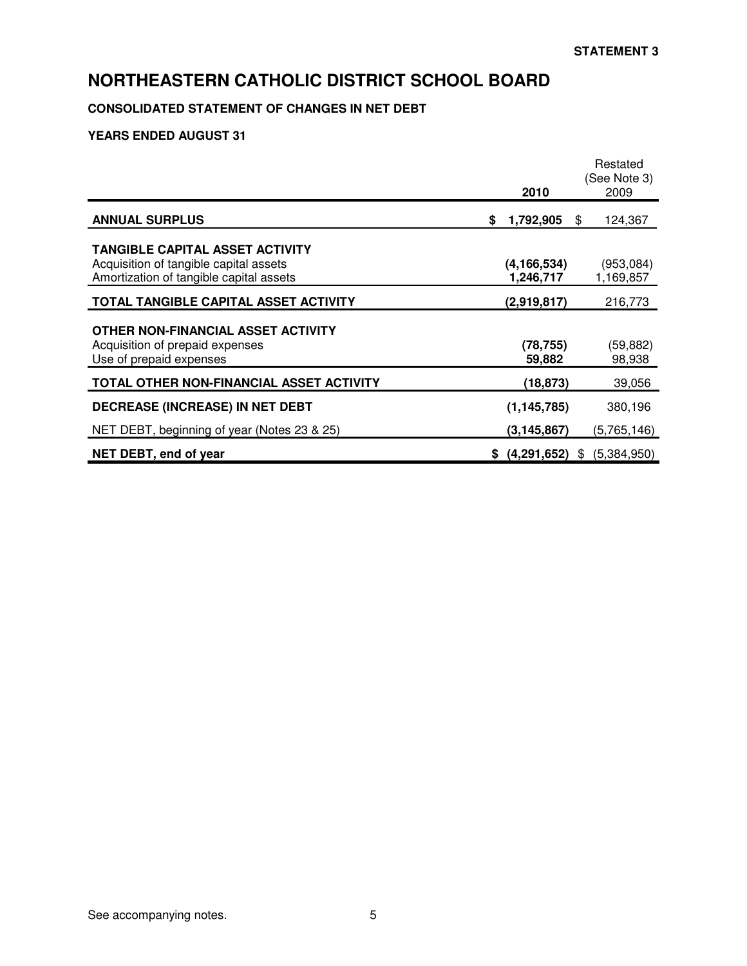## **CONSOLIDATED STATEMENT OF CHANGES IN NET DEBT**

|                                                                                                                             |    | 2010                       | Restated<br>(See Note 3)<br>2009 |
|-----------------------------------------------------------------------------------------------------------------------------|----|----------------------------|----------------------------------|
| <b>ANNUAL SURPLUS</b>                                                                                                       | S. | 1,792,905                  | \$<br>124,367                    |
| <b>TANGIBLE CAPITAL ASSET ACTIVITY</b><br>Acquisition of tangible capital assets<br>Amortization of tangible capital assets |    | (4, 166, 534)<br>1,246,717 | (953,084)<br>1,169,857           |
| TOTAL TANGIBLE CAPITAL ASSET ACTIVITY                                                                                       |    | (2,919,817)                | 216,773                          |
| OTHER NON-FINANCIAL ASSET ACTIVITY<br>Acquisition of prepaid expenses<br>Use of prepaid expenses                            |    | (78, 755)<br>59,882        | (59,882)<br>98,938               |
| <b>TOTAL OTHER NON-FINANCIAL ASSET ACTIVITY</b>                                                                             |    | (18,873)                   | 39,056                           |
| <b>DECREASE (INCREASE) IN NET DEBT</b>                                                                                      |    | (1, 145, 785)              | 380,196                          |
| NET DEBT, beginning of year (Notes 23 & 25)                                                                                 |    | (3, 145, 867)              | (5,765,146)                      |
| NET DEBT, end of year                                                                                                       |    | \$ (4,291,652)             | (5,384,950)<br>\$                |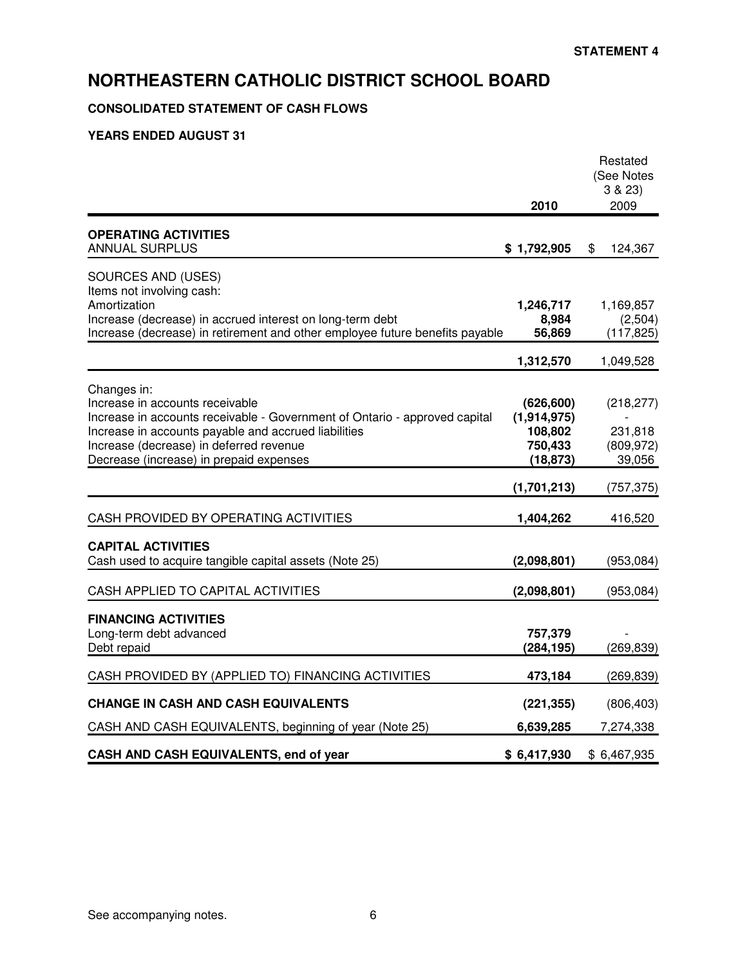## **CONSOLIDATED STATEMENT OF CASH FLOWS**

|                                                                                                                                            |                                 | Restated<br>(See Notes<br>3 & 23 |
|--------------------------------------------------------------------------------------------------------------------------------------------|---------------------------------|----------------------------------|
|                                                                                                                                            | 2010                            | 2009                             |
| <b>OPERATING ACTIVITIES</b><br><b>ANNUAL SURPLUS</b>                                                                                       | \$1,792,905                     | \$<br>124,367                    |
| SOURCES AND (USES)<br>Items not involving cash:<br>Amortization                                                                            | 1,246,717                       | 1,169,857                        |
| Increase (decrease) in accrued interest on long-term debt<br>Increase (decrease) in retirement and other employee future benefits payable  | 8,984<br>56,869                 | (2,504)<br>(117, 825)            |
|                                                                                                                                            | 1,312,570                       | 1,049,528                        |
| Changes in:<br>Increase in accounts receivable<br>Increase in accounts receivable - Government of Ontario - approved capital               | (626, 600)<br>(1,914,975)       | (218, 277)                       |
| Increase in accounts payable and accrued liabilities<br>Increase (decrease) in deferred revenue<br>Decrease (increase) in prepaid expenses | 108,802<br>750,433<br>(18, 873) | 231,818<br>(809, 972)<br>39,056  |
|                                                                                                                                            | (1,701,213)                     | (757, 375)                       |
| CASH PROVIDED BY OPERATING ACTIVITIES                                                                                                      | 1,404,262                       | 416,520                          |
| <b>CAPITAL ACTIVITIES</b><br>Cash used to acquire tangible capital assets (Note 25)                                                        | (2,098,801)                     | (953,084)                        |
| CASH APPLIED TO CAPITAL ACTIVITIES                                                                                                         | (2,098,801)                     | (953,084)                        |
| <b>FINANCING ACTIVITIES</b><br>Long-term debt advanced<br>Debt repaid                                                                      | 757,379<br>(284, 195)           | (269, 839)                       |
| CASH PROVIDED BY (APPLIED TO) FINANCING ACTIVITIES                                                                                         | 473,184                         | (269, 839)                       |
| <b>CHANGE IN CASH AND CASH EQUIVALENTS</b>                                                                                                 | (221, 355)                      | (806, 403)                       |
| CASH AND CASH EQUIVALENTS, beginning of year (Note 25)                                                                                     | 6,639,285                       | 7,274,338                        |
| CASH AND CASH EQUIVALENTS, end of year                                                                                                     | \$6,417,930                     | \$6,467,935                      |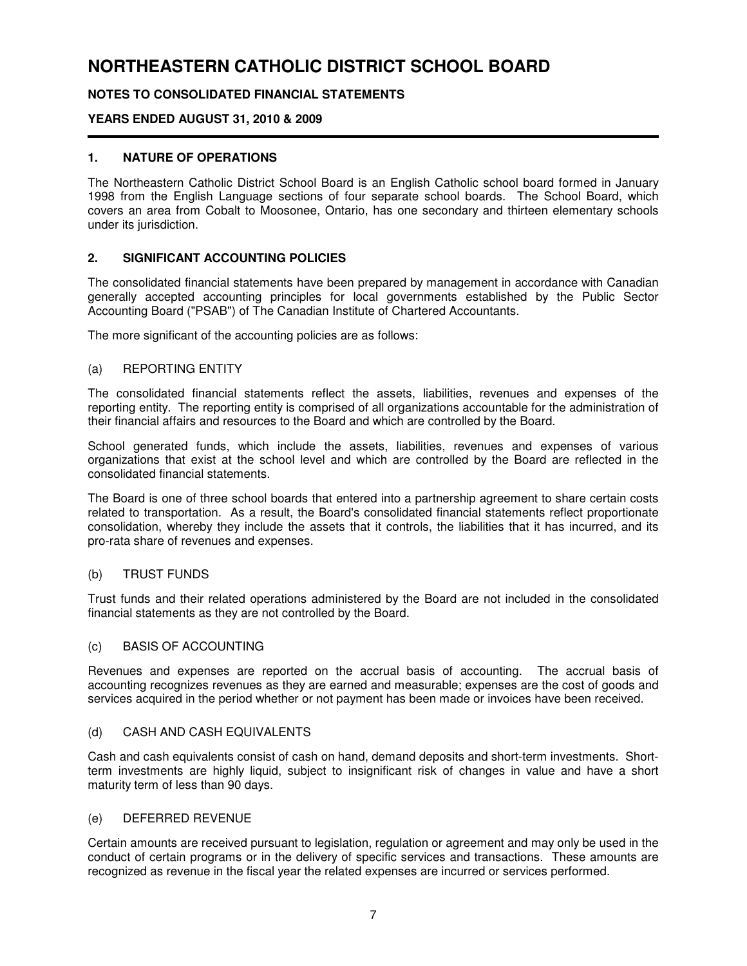## **NOTES TO CONSOLIDATED FINANCIAL STATEMENTS**

### **YEARS ENDED AUGUST 31, 2010 & 2009**

#### **1. NATURE OF OPERATIONS**

The Northeastern Catholic District School Board is an English Catholic school board formed in January 1998 from the English Language sections of four separate school boards. The School Board, which covers an area from Cobalt to Moosonee, Ontario, has one secondary and thirteen elementary schools under its jurisdiction.

### **2. SIGNIFICANT ACCOUNTING POLICIES**

The consolidated financial statements have been prepared by management in accordance with Canadian generally accepted accounting principles for local governments established by the Public Sector Accounting Board ("PSAB") of The Canadian Institute of Chartered Accountants.

The more significant of the accounting policies are as follows:

#### (a) REPORTING ENTITY

The consolidated financial statements reflect the assets, liabilities, revenues and expenses of the reporting entity. The reporting entity is comprised of all organizations accountable for the administration of their financial affairs and resources to the Board and which are controlled by the Board.

School generated funds, which include the assets, liabilities, revenues and expenses of various organizations that exist at the school level and which are controlled by the Board are reflected in the consolidated financial statements.

The Board is one of three school boards that entered into a partnership agreement to share certain costs related to transportation. As a result, the Board's consolidated financial statements reflect proportionate consolidation, whereby they include the assets that it controls, the liabilities that it has incurred, and its pro-rata share of revenues and expenses.

#### (b) TRUST FUNDS

Trust funds and their related operations administered by the Board are not included in the consolidated financial statements as they are not controlled by the Board.

#### (c) BASIS OF ACCOUNTING

Revenues and expenses are reported on the accrual basis of accounting. The accrual basis of accounting recognizes revenues as they are earned and measurable; expenses are the cost of goods and services acquired in the period whether or not payment has been made or invoices have been received.

#### (d) CASH AND CASH EQUIVALENTS

Cash and cash equivalents consist of cash on hand, demand deposits and short-term investments. Shortterm investments are highly liquid, subject to insignificant risk of changes in value and have a short maturity term of less than 90 days.

#### (e) DEFERRED REVENUE

Certain amounts are received pursuant to legislation, regulation or agreement and may only be used in the conduct of certain programs or in the delivery of specific services and transactions. These amounts are recognized as revenue in the fiscal year the related expenses are incurred or services performed.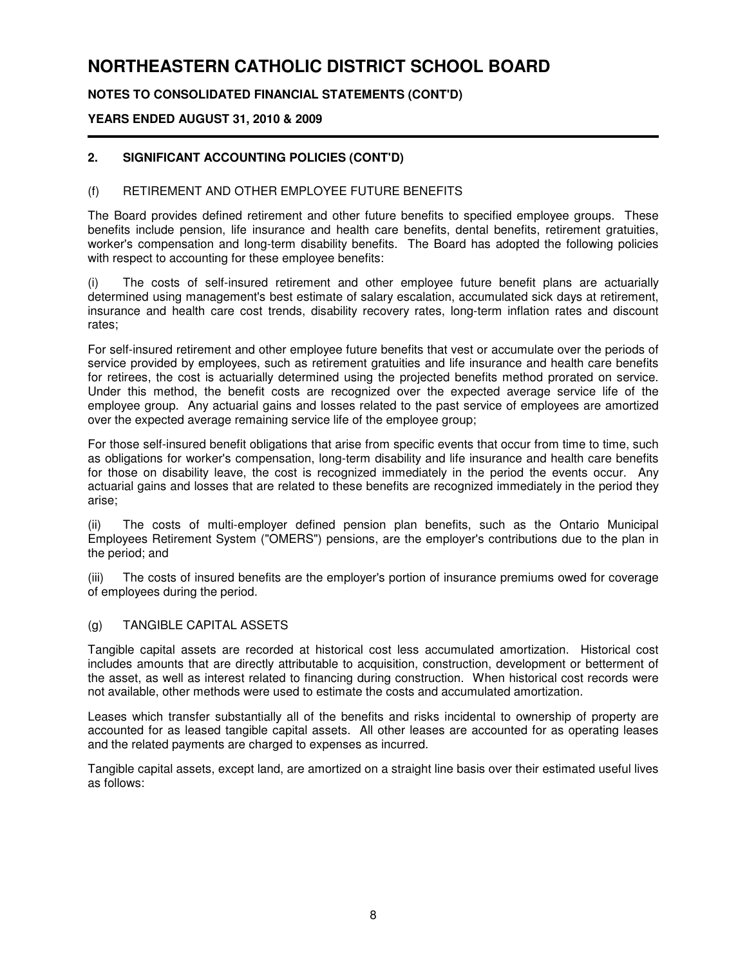## **NOTES TO CONSOLIDATED FINANCIAL STATEMENTS (CONT'D)**

### **YEARS ENDED AUGUST 31, 2010 & 2009**

## **2. SIGNIFICANT ACCOUNTING POLICIES (CONT'D)**

#### (f) RETIREMENT AND OTHER EMPLOYEE FUTURE BENEFITS

The Board provides defined retirement and other future benefits to specified employee groups. These benefits include pension, life insurance and health care benefits, dental benefits, retirement gratuities, worker's compensation and long-term disability benefits. The Board has adopted the following policies with respect to accounting for these employee benefits:

(i) The costs of self-insured retirement and other employee future benefit plans are actuarially determined using management's best estimate of salary escalation, accumulated sick days at retirement, insurance and health care cost trends, disability recovery rates, long-term inflation rates and discount rates;

For self-insured retirement and other employee future benefits that vest or accumulate over the periods of service provided by employees, such as retirement gratuities and life insurance and health care benefits for retirees, the cost is actuarially determined using the projected benefits method prorated on service. Under this method, the benefit costs are recognized over the expected average service life of the employee group. Any actuarial gains and losses related to the past service of employees are amortized over the expected average remaining service life of the employee group;

For those self-insured benefit obligations that arise from specific events that occur from time to time, such as obligations for worker's compensation, long-term disability and life insurance and health care benefits for those on disability leave, the cost is recognized immediately in the period the events occur. Any actuarial gains and losses that are related to these benefits are recognized immediately in the period they arise;

(ii) The costs of multi-employer defined pension plan benefits, such as the Ontario Municipal Employees Retirement System ("OMERS") pensions, are the employer's contributions due to the plan in the period; and

(iii) The costs of insured benefits are the employer's portion of insurance premiums owed for coverage of employees during the period.

#### (g) TANGIBLE CAPITAL ASSETS

Tangible capital assets are recorded at historical cost less accumulated amortization. Historical cost includes amounts that are directly attributable to acquisition, construction, development or betterment of the asset, as well as interest related to financing during construction. When historical cost records were not available, other methods were used to estimate the costs and accumulated amortization.

Leases which transfer substantially all of the benefits and risks incidental to ownership of property are accounted for as leased tangible capital assets. All other leases are accounted for as operating leases and the related payments are charged to expenses as incurred.

Tangible capital assets, except land, are amortized on a straight line basis over their estimated useful lives as follows: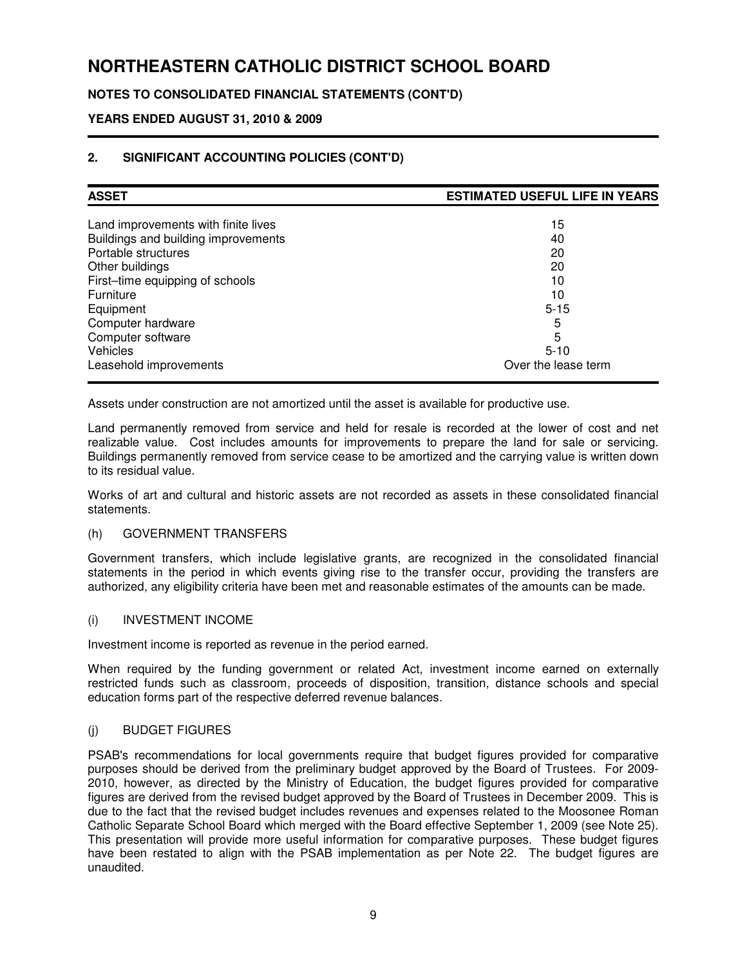## **NOTES TO CONSOLIDATED FINANCIAL STATEMENTS (CONT'D)**

## **YEARS ENDED AUGUST 31, 2010 & 2009**

## **2. SIGNIFICANT ACCOUNTING POLICIES (CONT'D)**

| <b>ASSET</b>                        | <b>ESTIMATED USEFUL LIFE IN YEARS</b> |  |  |
|-------------------------------------|---------------------------------------|--|--|
| Land improvements with finite lives | 15                                    |  |  |
| Buildings and building improvements | 40                                    |  |  |
| Portable structures                 | 20                                    |  |  |
| Other buildings                     | 20                                    |  |  |
| First-time equipping of schools     | 10                                    |  |  |
| Furniture                           | 10                                    |  |  |
| Equipment                           | $5 - 15$                              |  |  |
| Computer hardware                   | 5                                     |  |  |
| Computer software                   | 5                                     |  |  |
| <b>Vehicles</b>                     | $5 - 10$                              |  |  |
| Leasehold improvements              | Over the lease term                   |  |  |

Assets under construction are not amortized until the asset is available for productive use.

Land permanently removed from service and held for resale is recorded at the lower of cost and net realizable value. Cost includes amounts for improvements to prepare the land for sale or servicing. Buildings permanently removed from service cease to be amortized and the carrying value is written down to its residual value.

Works of art and cultural and historic assets are not recorded as assets in these consolidated financial statements.

#### (h) GOVERNMENT TRANSFERS

Government transfers, which include legislative grants, are recognized in the consolidated financial statements in the period in which events giving rise to the transfer occur, providing the transfers are authorized, any eligibility criteria have been met and reasonable estimates of the amounts can be made.

#### (i) INVESTMENT INCOME

Investment income is reported as revenue in the period earned.

When required by the funding government or related Act, investment income earned on externally restricted funds such as classroom, proceeds of disposition, transition, distance schools and special education forms part of the respective deferred revenue balances.

### (j) BUDGET FIGURES

PSAB's recommendations for local governments require that budget figures provided for comparative purposes should be derived from the preliminary budget approved by the Board of Trustees. For 2009- 2010, however, as directed by the Ministry of Education, the budget figures provided for comparative figures are derived from the revised budget approved by the Board of Trustees in December 2009. This is due to the fact that the revised budget includes revenues and expenses related to the Moosonee Roman Catholic Separate School Board which merged with the Board effective September 1, 2009 (see Note 25). This presentation will provide more useful information for comparative purposes. These budget figures have been restated to align with the PSAB implementation as per Note 22. The budget figures are unaudited.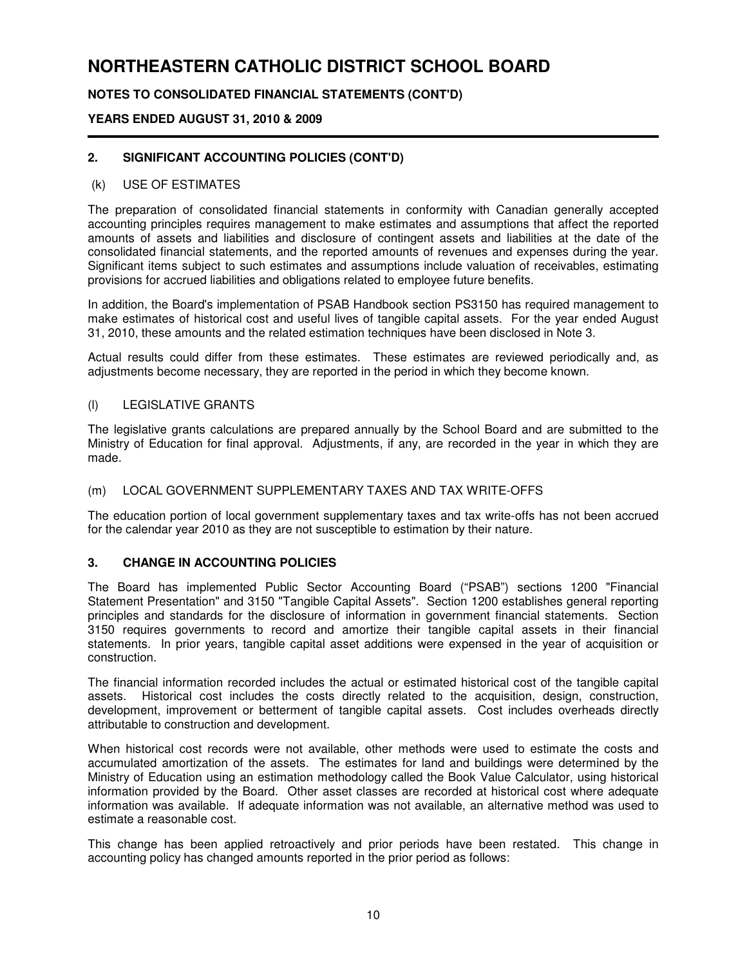## **NOTES TO CONSOLIDATED FINANCIAL STATEMENTS (CONT'D)**

## **YEARS ENDED AUGUST 31, 2010 & 2009**

## **2. SIGNIFICANT ACCOUNTING POLICIES (CONT'D)**

#### (k) USE OF ESTIMATES

The preparation of consolidated financial statements in conformity with Canadian generally accepted accounting principles requires management to make estimates and assumptions that affect the reported amounts of assets and liabilities and disclosure of contingent assets and liabilities at the date of the consolidated financial statements, and the reported amounts of revenues and expenses during the year. Significant items subject to such estimates and assumptions include valuation of receivables, estimating provisions for accrued liabilities and obligations related to employee future benefits.

In addition, the Board's implementation of PSAB Handbook section PS3150 has required management to make estimates of historical cost and useful lives of tangible capital assets. For the year ended August 31, 2010, these amounts and the related estimation techniques have been disclosed in Note 3.

Actual results could differ from these estimates. These estimates are reviewed periodically and, as adjustments become necessary, they are reported in the period in which they become known.

#### (l) LEGISLATIVE GRANTS

The legislative grants calculations are prepared annually by the School Board and are submitted to the Ministry of Education for final approval. Adjustments, if any, are recorded in the year in which they are made.

### (m) LOCAL GOVERNMENT SUPPLEMENTARY TAXES AND TAX WRITE-OFFS

The education portion of local government supplementary taxes and tax write-offs has not been accrued for the calendar year 2010 as they are not susceptible to estimation by their nature.

### **3. CHANGE IN ACCOUNTING POLICIES**

The Board has implemented Public Sector Accounting Board ("PSAB") sections 1200 "Financial Statement Presentation" and 3150 "Tangible Capital Assets". Section 1200 establishes general reporting principles and standards for the disclosure of information in government financial statements. Section 3150 requires governments to record and amortize their tangible capital assets in their financial statements. In prior years, tangible capital asset additions were expensed in the year of acquisition or construction.

The financial information recorded includes the actual or estimated historical cost of the tangible capital assets. Historical cost includes the costs directly related to the acquisition, design, construction, development, improvement or betterment of tangible capital assets. Cost includes overheads directly attributable to construction and development.

When historical cost records were not available, other methods were used to estimate the costs and accumulated amortization of the assets. The estimates for land and buildings were determined by the Ministry of Education using an estimation methodology called the Book Value Calculator, using historical information provided by the Board. Other asset classes are recorded at historical cost where adequate information was available. If adequate information was not available, an alternative method was used to estimate a reasonable cost.

This change has been applied retroactively and prior periods have been restated. This change in accounting policy has changed amounts reported in the prior period as follows: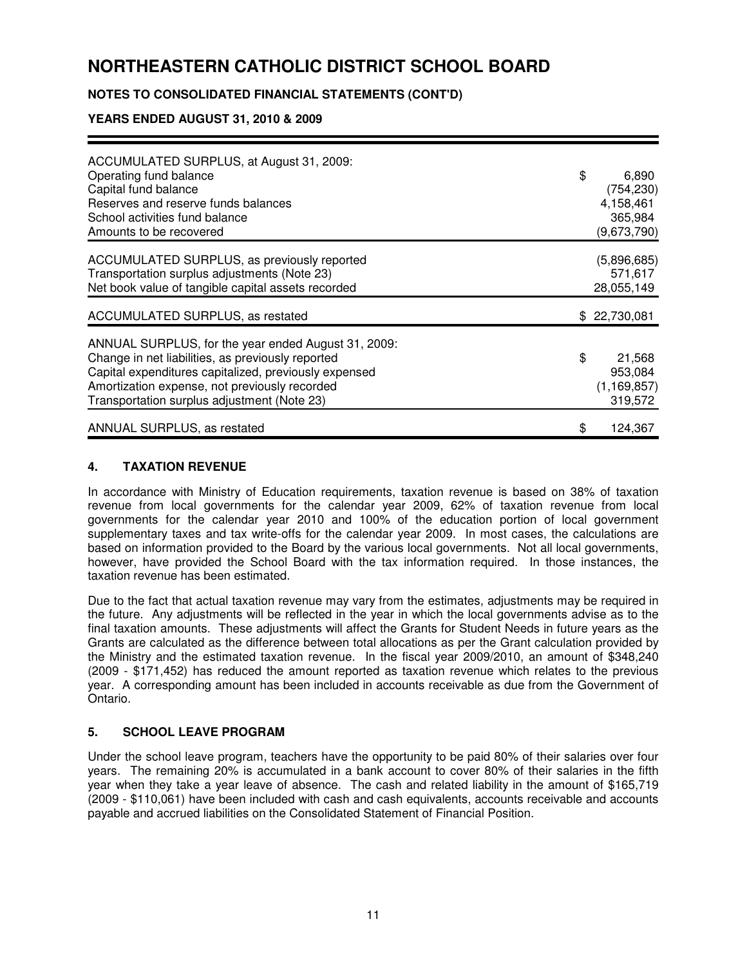## **NOTES TO CONSOLIDATED FINANCIAL STATEMENTS (CONT'D)**

## **YEARS ENDED AUGUST 31, 2010 & 2009**

| ACCUMULATED SURPLUS, at August 31, 2009:<br>Operating fund balance<br>Capital fund balance<br>Reserves and reserve funds balances<br>School activities fund balance<br>Amounts to be recovered                                                                    | \$<br>6,890<br>(754, 230)<br>4,158,461<br>365,984<br>(9,673,790) |
|-------------------------------------------------------------------------------------------------------------------------------------------------------------------------------------------------------------------------------------------------------------------|------------------------------------------------------------------|
| ACCUMULATED SURPLUS, as previously reported<br>Transportation surplus adjustments (Note 23)<br>Net book value of tangible capital assets recorded                                                                                                                 | (5,896,685)<br>571,617<br>28,055,149                             |
| ACCUMULATED SURPLUS, as restated                                                                                                                                                                                                                                  | \$22,730,081                                                     |
| ANNUAL SURPLUS, for the year ended August 31, 2009:<br>Change in net liabilities, as previously reported<br>Capital expenditures capitalized, previously expensed<br>Amortization expense, not previously recorded<br>Transportation surplus adjustment (Note 23) | \$<br>21,568<br>953,084<br>(1, 169, 857)<br>319,572              |
| ANNUAL SURPLUS, as restated                                                                                                                                                                                                                                       | \$<br>124,367                                                    |

### **4. TAXATION REVENUE**

In accordance with Ministry of Education requirements, taxation revenue is based on 38% of taxation revenue from local governments for the calendar year 2009, 62% of taxation revenue from local governments for the calendar year 2010 and 100% of the education portion of local government supplementary taxes and tax write-offs for the calendar year 2009. In most cases, the calculations are based on information provided to the Board by the various local governments. Not all local governments, however, have provided the School Board with the tax information required. In those instances, the taxation revenue has been estimated.

Due to the fact that actual taxation revenue may vary from the estimates, adjustments may be required in the future. Any adjustments will be reflected in the year in which the local governments advise as to the final taxation amounts. These adjustments will affect the Grants for Student Needs in future years as the Grants are calculated as the difference between total allocations as per the Grant calculation provided by the Ministry and the estimated taxation revenue. In the fiscal year 2009/2010, an amount of \$348,240 (2009 - \$171,452) has reduced the amount reported as taxation revenue which relates to the previous year. A corresponding amount has been included in accounts receivable as due from the Government of Ontario.

### **5. SCHOOL LEAVE PROGRAM**

Under the school leave program, teachers have the opportunity to be paid 80% of their salaries over four years. The remaining 20% is accumulated in a bank account to cover 80% of their salaries in the fifth year when they take a year leave of absence. The cash and related liability in the amount of \$165,719 (2009 - \$110,061) have been included with cash and cash equivalents, accounts receivable and accounts payable and accrued liabilities on the Consolidated Statement of Financial Position.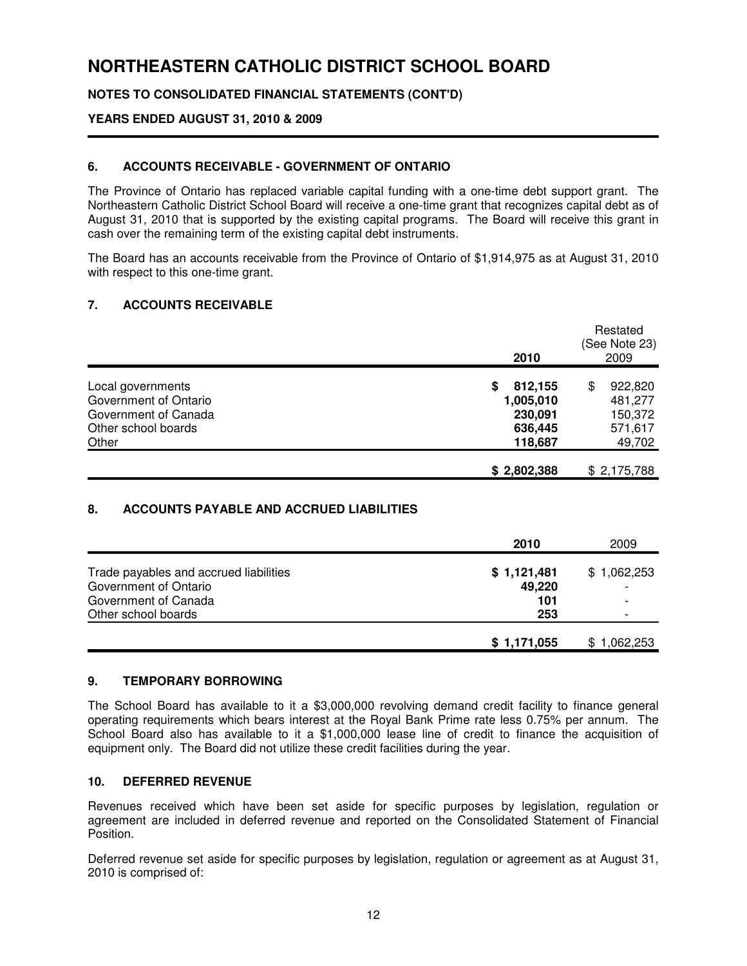## **NOTES TO CONSOLIDATED FINANCIAL STATEMENTS (CONT'D)**

### **YEARS ENDED AUGUST 31, 2010 & 2009**

#### **6. ACCOUNTS RECEIVABLE - GOVERNMENT OF ONTARIO**

The Province of Ontario has replaced variable capital funding with a one-time debt support grant. The Northeastern Catholic District School Board will receive a one-time grant that recognizes capital debt as of August 31, 2010 that is supported by the existing capital programs. The Board will receive this grant in cash over the remaining term of the existing capital debt instruments.

The Board has an accounts receivable from the Province of Ontario of \$1,914,975 as at August 31, 2010 with respect to this one-time grant.

#### **7. ACCOUNTS RECEIVABLE**

|                       | 2010         | Restated<br>(See Note 23)<br>2009 |
|-----------------------|--------------|-----------------------------------|
| Local governments     | 812,155<br>S | \$<br>922,820                     |
| Government of Ontario | 1,005,010    | 481,277                           |
| Government of Canada  | 230,091      | 150,372                           |
| Other school boards   | 636,445      | 571,617                           |
| Other                 | 118,687      | 49,702                            |
|                       | \$2,802,388  | \$2,175,788                       |

#### **8. ACCOUNTS PAYABLE AND ACCRUED LIABILITIES**

|                                        | 2010        | 2009                     |
|----------------------------------------|-------------|--------------------------|
| Trade payables and accrued liabilities | \$1,121,481 | \$1,062,253              |
| Government of Ontario                  | 49,220      | $\overline{\phantom{a}}$ |
| Government of Canada                   | 101         | ۰                        |
| Other school boards                    | 253         | $\overline{\phantom{a}}$ |
|                                        |             |                          |
|                                        | \$1,171,055 | \$1,062,253              |

#### **9. TEMPORARY BORROWING**

The School Board has available to it a \$3,000,000 revolving demand credit facility to finance general operating requirements which bears interest at the Royal Bank Prime rate less 0.75% per annum. The School Board also has available to it a \$1,000,000 lease line of credit to finance the acquisition of equipment only. The Board did not utilize these credit facilities during the year.

#### **10. DEFERRED REVENUE**

Revenues received which have been set aside for specific purposes by legislation, regulation or agreement are included in deferred revenue and reported on the Consolidated Statement of Financial Position.

Deferred revenue set aside for specific purposes by legislation, regulation or agreement as at August 31, 2010 is comprised of: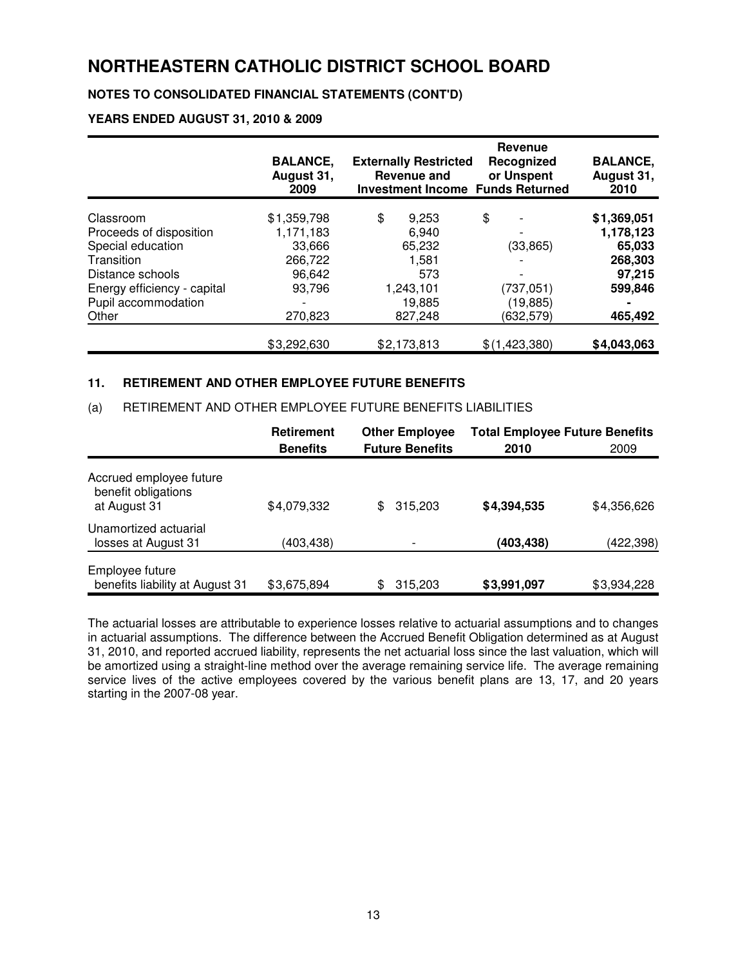## **NOTES TO CONSOLIDATED FINANCIAL STATEMENTS (CONT'D)**

#### **YEARS ENDED AUGUST 31, 2010 & 2009**

|                             | <b>BALANCE,</b><br>August 31,<br>2009 | <b>Externally Restricted</b><br>Revenue and<br><b>Investment Income Funds Returned</b> | <b>Revenue</b><br>Recognized<br>or Unspent | <b>BALANCE,</b><br>August 31,<br>2010 |
|-----------------------------|---------------------------------------|----------------------------------------------------------------------------------------|--------------------------------------------|---------------------------------------|
| Classroom                   | \$1,359,798                           | \$<br>9,253                                                                            | \$                                         | \$1,369,051                           |
| Proceeds of disposition     | 1,171,183                             | 6,940                                                                                  |                                            | 1,178,123                             |
| Special education           | 33,666                                | 65,232                                                                                 | (33, 865)                                  | 65,033                                |
| Transition                  | 266,722                               | 1,581                                                                                  |                                            | 268,303                               |
| Distance schools            | 96,642                                | 573                                                                                    |                                            | 97,215                                |
| Energy efficiency - capital | 93.796                                | 1,243,101                                                                              | (737,051)                                  | 599,846                               |
| Pupil accommodation         |                                       | 19,885                                                                                 | (19, 885)                                  |                                       |
| Other                       | 270,823                               | 827.248                                                                                | (632, 579)                                 | 465,492                               |
|                             | \$3,292,630                           | \$2,173,813                                                                            | \$(1,423,380)                              | \$4,043,063                           |

#### **11. RETIREMENT AND OTHER EMPLOYEE FUTURE BENEFITS**

#### (a) RETIREMENT AND OTHER EMPLOYEE FUTURE BENEFITS LIABILITIES

|                                                                | <b>Retirement</b><br><b>Benefits</b> | <b>Other Employee</b><br><b>Future Benefits</b> | <b>Total Employee Future Benefits</b><br>2010 | 2009        |
|----------------------------------------------------------------|--------------------------------------|-------------------------------------------------|-----------------------------------------------|-------------|
|                                                                |                                      |                                                 |                                               |             |
| Accrued employee future<br>benefit obligations<br>at August 31 | \$4,079,332                          | \$<br>315,203                                   | \$4,394,535                                   | \$4,356,626 |
| Unamortized actuarial<br>losses at August 31                   | (403,438)                            |                                                 | (403,438)                                     | (422,398)   |
| Employee future<br>benefits liability at August 31             | \$3,675,894                          | \$<br>315,203                                   | \$3,991,097                                   | \$3,934,228 |

The actuarial losses are attributable to experience losses relative to actuarial assumptions and to changes in actuarial assumptions. The difference between the Accrued Benefit Obligation determined as at August 31, 2010, and reported accrued liability, represents the net actuarial loss since the last valuation, which will be amortized using a straight-line method over the average remaining service life. The average remaining service lives of the active employees covered by the various benefit plans are 13, 17, and 20 years starting in the 2007-08 year.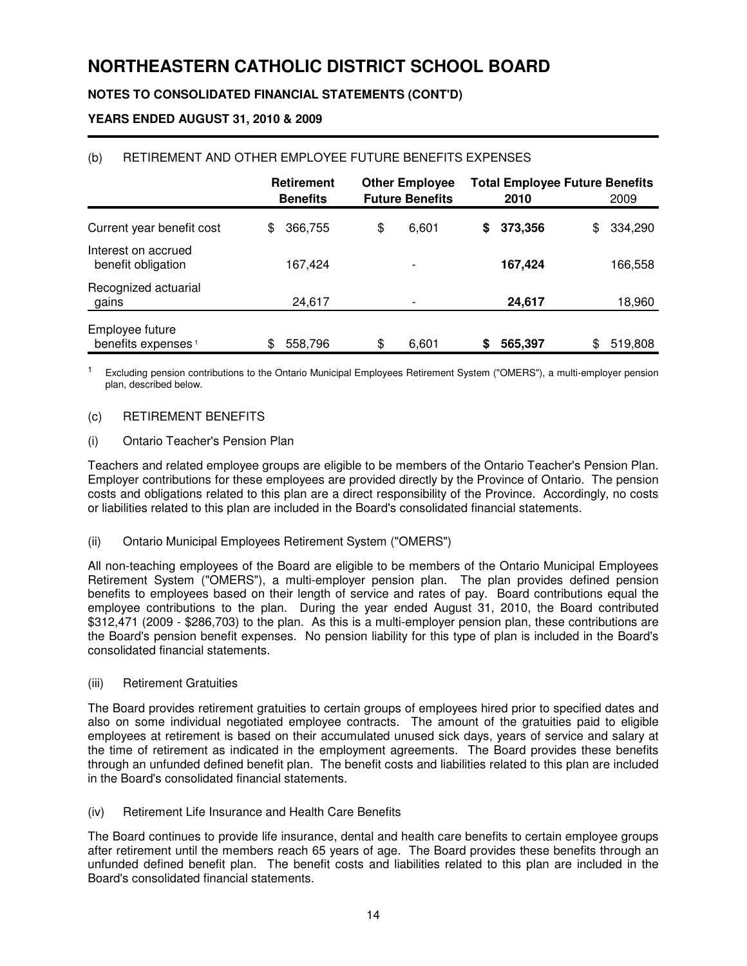## **NOTES TO CONSOLIDATED FINANCIAL STATEMENTS (CONT'D)**

## **YEARS ENDED AUGUST 31, 2010 & 2009**

|                                                   | <b>Retirement</b><br><b>Benefits</b> | <b>Other Employee</b><br><b>Future Benefits</b> |   | <b>Total Employee Future Benefits</b><br>2010 | 2009          |
|---------------------------------------------------|--------------------------------------|-------------------------------------------------|---|-----------------------------------------------|---------------|
| Current year benefit cost                         | \$<br>366,755                        | \$<br>6,601                                     | S | 373,356                                       | \$<br>334,290 |
| Interest on accrued<br>benefit obligation         | 167,424                              |                                                 |   | 167,424                                       | 166,558       |
| Recognized actuarial<br>gains                     | 24,617                               |                                                 |   | 24,617                                        | 18,960        |
| Employee future<br>benefits expenses <sup>1</sup> | \$<br>558,796                        | \$<br>6,601                                     | S | 565,397                                       | \$<br>519,808 |

## (b) RETIREMENT AND OTHER EMPLOYEE FUTURE BENEFITS EXPENSES

<sup>1</sup> Excluding pension contributions to the Ontario Municipal Employees Retirement System ("OMERS"), a multi-employer pension plan, described below.

#### (c) RETIREMENT BENEFITS

#### (i) Ontario Teacher's Pension Plan

Teachers and related employee groups are eligible to be members of the Ontario Teacher's Pension Plan. Employer contributions for these employees are provided directly by the Province of Ontario. The pension costs and obligations related to this plan are a direct responsibility of the Province. Accordingly, no costs or liabilities related to this plan are included in the Board's consolidated financial statements.

#### (ii) Ontario Municipal Employees Retirement System ("OMERS")

All non-teaching employees of the Board are eligible to be members of the Ontario Municipal Employees Retirement System ("OMERS"), a multi-employer pension plan. The plan provides defined pension benefits to employees based on their length of service and rates of pay. Board contributions equal the employee contributions to the plan. During the year ended August 31, 2010, the Board contributed \$312,471 (2009 - \$286,703) to the plan. As this is a multi-employer pension plan, these contributions are the Board's pension benefit expenses. No pension liability for this type of plan is included in the Board's consolidated financial statements.

#### (iii) Retirement Gratuities

The Board provides retirement gratuities to certain groups of employees hired prior to specified dates and also on some individual negotiated employee contracts. The amount of the gratuities paid to eligible employees at retirement is based on their accumulated unused sick days, years of service and salary at the time of retirement as indicated in the employment agreements. The Board provides these benefits through an unfunded defined benefit plan. The benefit costs and liabilities related to this plan are included in the Board's consolidated financial statements.

(iv) Retirement Life Insurance and Health Care Benefits

The Board continues to provide life insurance, dental and health care benefits to certain employee groups after retirement until the members reach 65 years of age. The Board provides these benefits through an unfunded defined benefit plan. The benefit costs and liabilities related to this plan are included in the Board's consolidated financial statements.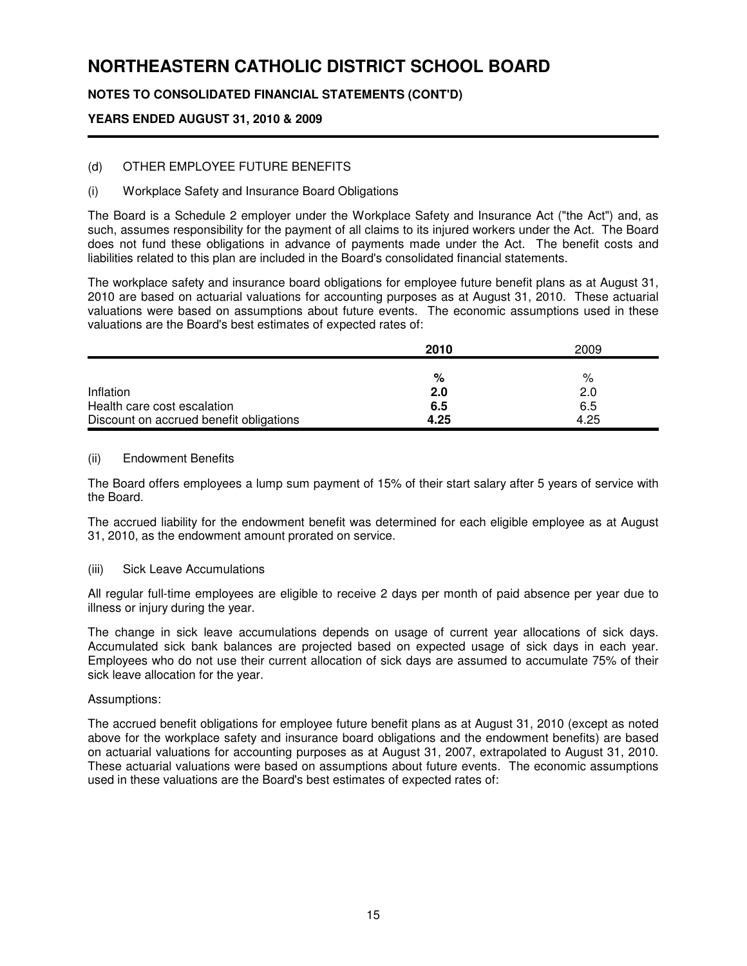## **NOTES TO CONSOLIDATED FINANCIAL STATEMENTS (CONT'D)**

## **YEARS ENDED AUGUST 31, 2010 & 2009**

## (d) OTHER EMPLOYEE FUTURE BENEFITS

### (i) Workplace Safety and Insurance Board Obligations

The Board is a Schedule 2 employer under the Workplace Safety and Insurance Act ("the Act") and, as such, assumes responsibility for the payment of all claims to its injured workers under the Act. The Board does not fund these obligations in advance of payments made under the Act. The benefit costs and liabilities related to this plan are included in the Board's consolidated financial statements.

The workplace safety and insurance board obligations for employee future benefit plans as at August 31, 2010 are based on actuarial valuations for accounting purposes as at August 31, 2010. These actuarial valuations were based on assumptions about future events. The economic assumptions used in these valuations are the Board's best estimates of expected rates of:

|                                         | 2010 | 2009 |
|-----------------------------------------|------|------|
|                                         |      |      |
|                                         | %    | %    |
| Inflation                               | 2.0  | 2.0  |
| Health care cost escalation             | 6.5  | 6.5  |
| Discount on accrued benefit obligations | 4.25 | 4.25 |

#### (ii) Endowment Benefits

The Board offers employees a lump sum payment of 15% of their start salary after 5 years of service with the Board.

The accrued liability for the endowment benefit was determined for each eligible employee as at August 31, 2010, as the endowment amount prorated on service.

### (iii) Sick Leave Accumulations

All regular full-time employees are eligible to receive 2 days per month of paid absence per year due to illness or injury during the year.

The change in sick leave accumulations depends on usage of current year allocations of sick days. Accumulated sick bank balances are projected based on expected usage of sick days in each year. Employees who do not use their current allocation of sick days are assumed to accumulate 75% of their sick leave allocation for the year.

#### Assumptions:

The accrued benefit obligations for employee future benefit plans as at August 31, 2010 (except as noted above for the workplace safety and insurance board obligations and the endowment benefits) are based on actuarial valuations for accounting purposes as at August 31, 2007, extrapolated to August 31, 2010. These actuarial valuations were based on assumptions about future events. The economic assumptions used in these valuations are the Board's best estimates of expected rates of: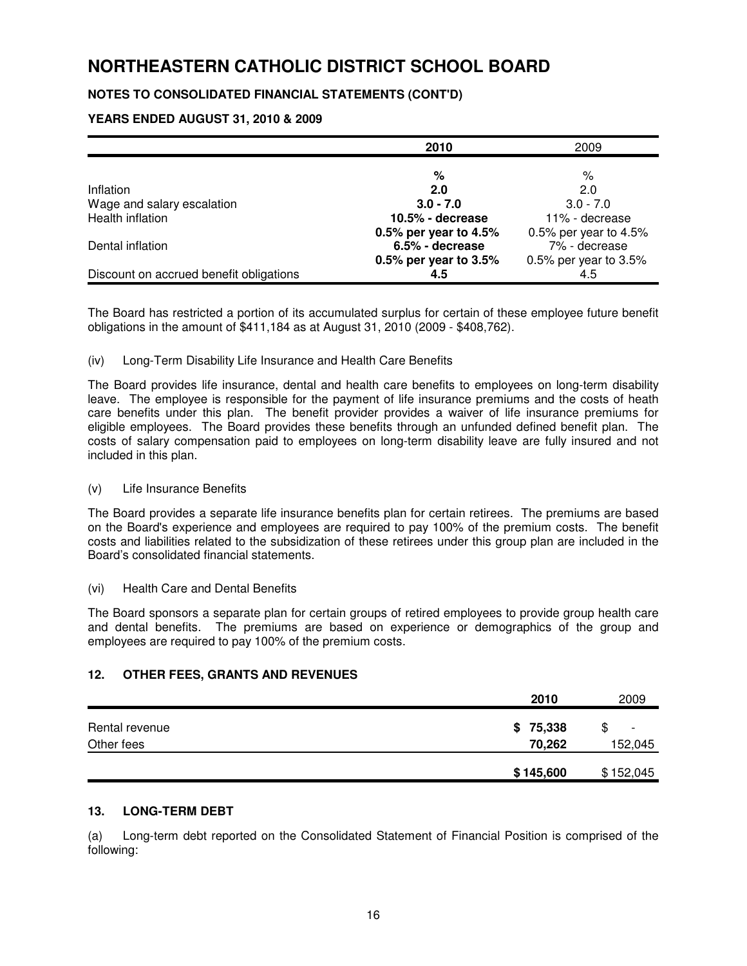## **NOTES TO CONSOLIDATED FINANCIAL STATEMENTS (CONT'D)**

## **YEARS ENDED AUGUST 31, 2010 & 2009**

|                                         | 2010                  | 2009                    |
|-----------------------------------------|-----------------------|-------------------------|
|                                         |                       |                         |
|                                         | %                     | %                       |
| Inflation                               | 2.0                   | 2.0                     |
| Wage and salary escalation              | $3.0 - 7.0$           | $3.0 - 7.0$             |
| Health inflation                        | $10.5%$ - decrease    | 11% - decrease          |
|                                         | 0.5% per year to 4.5% | 0.5% per year to $4.5%$ |
| Dental inflation                        | 6.5% - decrease       | 7% - decrease           |
|                                         | 0.5% per year to 3.5% | 0.5% per year to $3.5%$ |
| Discount on accrued benefit obligations | 4.5                   | 4.5                     |

The Board has restricted a portion of its accumulated surplus for certain of these employee future benefit obligations in the amount of \$411,184 as at August 31, 2010 (2009 - \$408,762).

#### (iv) Long-Term Disability Life Insurance and Health Care Benefits

The Board provides life insurance, dental and health care benefits to employees on long-term disability leave. The employee is responsible for the payment of life insurance premiums and the costs of heath care benefits under this plan. The benefit provider provides a waiver of life insurance premiums for eligible employees. The Board provides these benefits through an unfunded defined benefit plan. The costs of salary compensation paid to employees on long-term disability leave are fully insured and not included in this plan.

#### (v) Life Insurance Benefits

The Board provides a separate life insurance benefits plan for certain retirees. The premiums are based on the Board's experience and employees are required to pay 100% of the premium costs. The benefit costs and liabilities related to the subsidization of these retirees under this group plan are included in the Board's consolidated financial statements.

#### (vi) Health Care and Dental Benefits

The Board sponsors a separate plan for certain groups of retired employees to provide group health care and dental benefits. The premiums are based on experience or demographics of the group and employees are required to pay 100% of the premium costs.

### **12. OTHER FEES, GRANTS AND REVENUES**

|                | 2010      | 2009                           |
|----------------|-----------|--------------------------------|
| Rental revenue | \$75,338  | \$<br>$\overline{\phantom{0}}$ |
| Other fees     | 70,262    | 152,045                        |
|                | \$145,600 | \$152,045                      |

### **13. LONG-TERM DEBT**

(a) Long-term debt reported on the Consolidated Statement of Financial Position is comprised of the following: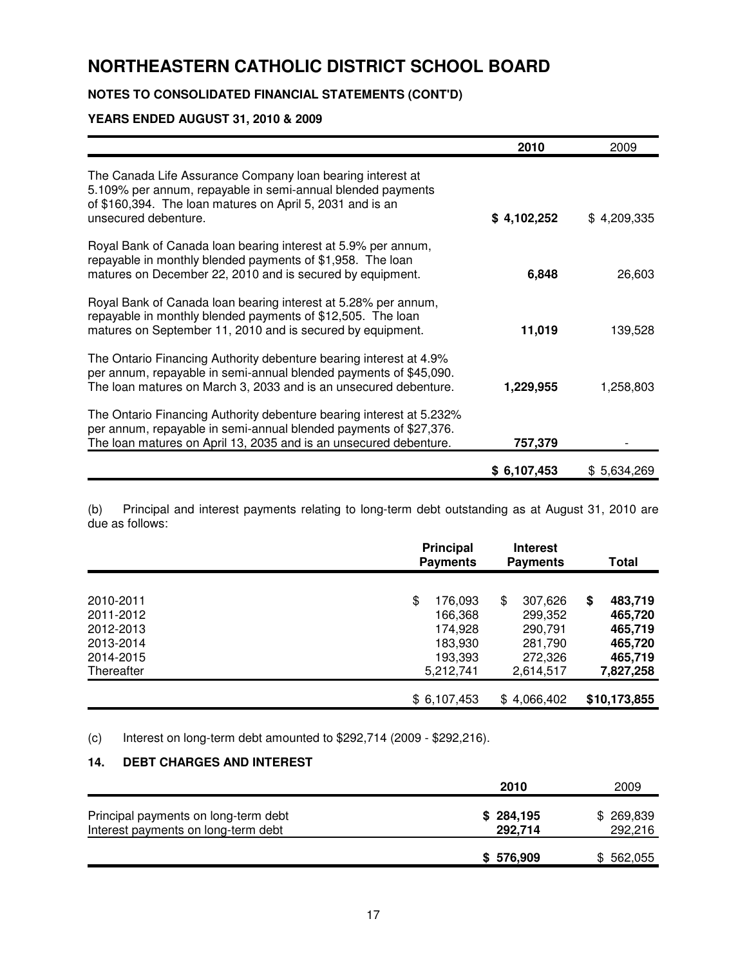## **NOTES TO CONSOLIDATED FINANCIAL STATEMENTS (CONT'D)**

#### **YEARS ENDED AUGUST 31, 2010 & 2009**

|                                                                                                                                                                                                                | 2010        | 2009        |
|----------------------------------------------------------------------------------------------------------------------------------------------------------------------------------------------------------------|-------------|-------------|
| The Canada Life Assurance Company loan bearing interest at<br>5.109% per annum, repayable in semi-annual blended payments<br>of \$160,394. The loan matures on April 5, 2031 and is an<br>unsecured debenture. | \$4,102,252 | \$4,209,335 |
| Royal Bank of Canada loan bearing interest at 5.9% per annum,<br>repayable in monthly blended payments of \$1,958. The loan<br>matures on December 22, 2010 and is secured by equipment.                       | 6,848       | 26,603      |
| Royal Bank of Canada loan bearing interest at 5.28% per annum,<br>repayable in monthly blended payments of \$12,505. The loan<br>matures on September 11, 2010 and is secured by equipment.                    | 11,019      | 139,528     |
| The Ontario Financing Authority debenture bearing interest at 4.9%<br>per annum, repayable in semi-annual blended payments of \$45,090.<br>The loan matures on March 3, 2033 and is an unsecured debenture.    | 1,229,955   | 1,258,803   |
| The Ontario Financing Authority debenture bearing interest at 5.232%<br>per annum, repayable in semi-annual blended payments of \$27,376.<br>The loan matures on April 13, 2035 and is an unsecured debenture. | 757,379     |             |
|                                                                                                                                                                                                                | \$6,107,453 | \$5,634,269 |

Principal and interest payments relating to long-term debt outstanding as at August 31, 2010 are (b) Principal<br>due as follows:

|            | <b>Principal</b> | <b>Payments</b> | <b>Interest</b><br><b>Payments</b> | Total         |
|------------|------------------|-----------------|------------------------------------|---------------|
| 2010-2011  | \$               | 176,093         | \$<br>307,626                      | \$<br>483,719 |
| 2011-2012  |                  | 166,368         | 299,352                            | 465,720       |
| 2012-2013  |                  | 174.928         | 290,791                            | 465,719       |
| 2013-2014  |                  | 183,930         | 281,790                            | 465,720       |
| 2014-2015  |                  | 193,393         | 272,326                            | 465,719       |
| Thereafter |                  | 5,212,741       | 2,614,517                          | 7,827,258     |
|            | \$6,107,453      |                 | \$4,066,402                        | \$10,173,855  |

(c) Interest on long-term debt amounted to \$292,714 (2009 - \$292,216).

## **14. DEBT CHARGES AND INTEREST**

|                                                                             | 2010                 | 2009                 |
|-----------------------------------------------------------------------------|----------------------|----------------------|
| Principal payments on long-term debt<br>Interest payments on long-term debt | \$284,195<br>292,714 | \$269,839<br>292,216 |
|                                                                             | \$ 576,909           | 562,055              |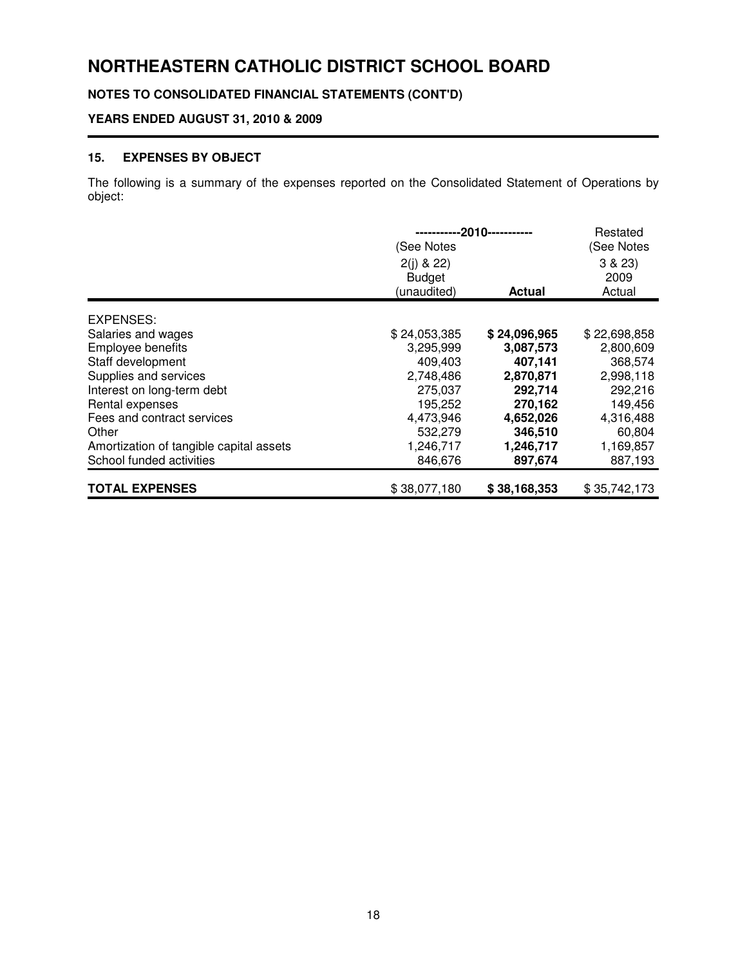**NOTES TO CONSOLIDATED FINANCIAL STATEMENTS (CONT'D)**

## **YEARS ENDED AUGUST 31, 2010 & 2009**

## **15. EXPENSES BY OBJECT**

The following is a summary of the expenses reported on the Consolidated Statement of Operations by object:

|                                         | (See Notes<br>$2(i)$ & 22)<br><b>Budget</b><br>(unaudited) | ----2010-----------<br><b>Actual</b> | Restated<br>(See Notes<br>3 & 23<br>2009<br>Actual |
|-----------------------------------------|------------------------------------------------------------|--------------------------------------|----------------------------------------------------|
| EXPENSES:                               |                                                            |                                      |                                                    |
| Salaries and wages                      | \$24,053,385                                               | \$24,096,965                         | \$22,698,858                                       |
| Employee benefits                       | 3,295,999                                                  | 3,087,573                            | 2,800,609                                          |
| Staff development                       | 409,403                                                    | 407,141                              | 368,574                                            |
| Supplies and services                   | 2,748,486                                                  | 2,870,871                            | 2,998,118                                          |
| Interest on long-term debt              | 275,037                                                    | 292,714                              | 292,216                                            |
| Rental expenses                         | 195,252                                                    | 270,162                              | 149,456                                            |
| Fees and contract services              | 4,473,946                                                  | 4,652,026                            | 4,316,488                                          |
| Other                                   | 532,279                                                    | 346,510                              | 60,804                                             |
| Amortization of tangible capital assets | 1,246,717                                                  | 1,246,717                            | 1,169,857                                          |
| School funded activities                | 846,676                                                    | 897,674                              | 887,193                                            |
| <b>TOTAL EXPENSES</b>                   | \$38,077,180                                               | \$38,168,353                         | \$35,742,173                                       |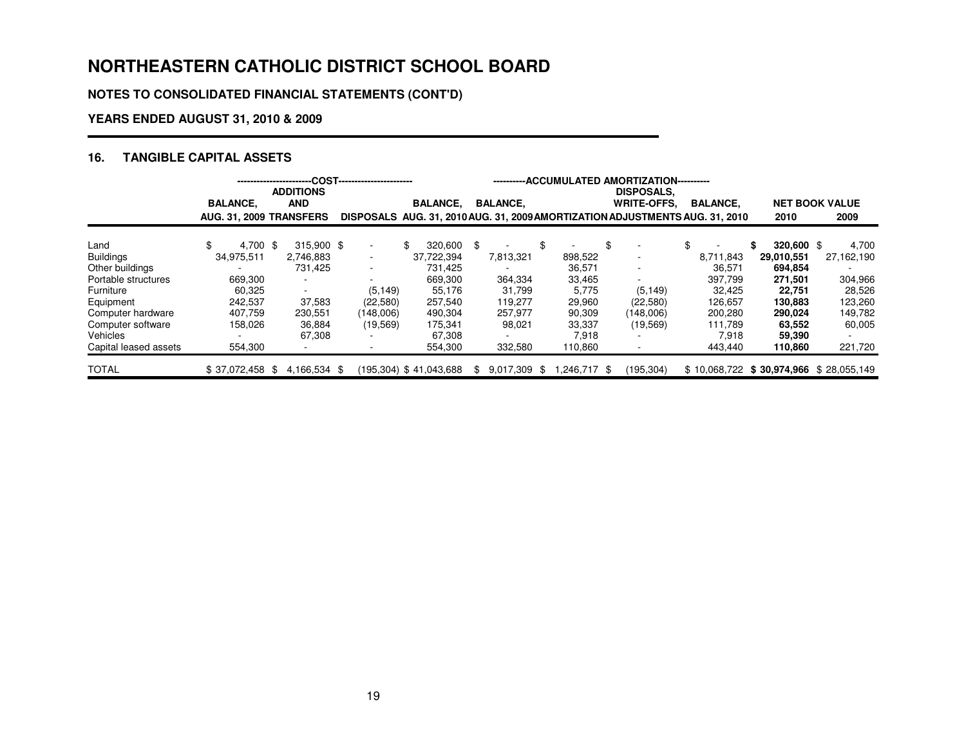**NOTES TO CONSOLIDATED FINANCIAL STATEMENTS (CONT'D)**

## **YEARS ENDED AUGUST 31, 2010 & 2009**

## **16. TANGIBLE CAPITAL ASSETS**

|                       |                         | <b>ADDITIONS</b> | .COST------------------------ |                        |                  |                    | ---ACCUMULATED AMORTIZATION----------<br><b>DISPOSALS.</b>                   |                 |              |                                           |
|-----------------------|-------------------------|------------------|-------------------------------|------------------------|------------------|--------------------|------------------------------------------------------------------------------|-----------------|--------------|-------------------------------------------|
|                       | <b>BALANCE.</b>         | <b>AND</b>       |                               | <b>BALANCE.</b>        | <b>BALANCE.</b>  |                    | <b>WRITE-OFFS.</b>                                                           | <b>BALANCE,</b> |              | <b>NET BOOK VALUE</b>                     |
|                       | AUG. 31. 2009 TRANSFERS |                  |                               |                        |                  |                    | DISPOSALS AUG. 31, 2010 AUG. 31, 2009 AMORTIZATION ADJUSTMENTS AUG. 31, 2010 |                 | 2010         | 2009                                      |
| Land                  | 4.700 \$                | 315.900 \$       | $\sim$                        | 320.600<br>\$          | -\$              |                    | \$<br>٠                                                                      | \$              | $320.600$ \$ | 4,700                                     |
| <b>Buildings</b>      | 34,975,511              | 2.746.883        | ۰.                            | 37,722,394             | 7,813,321        | 898,522            | ٠                                                                            | 8,711,843       | 29,010,551   | 27,162,190                                |
| Other buildings       |                         | 731.425          | ۰.                            | 731.425                |                  | 36,571             | ٠                                                                            | 36.571          | 694.854      |                                           |
| Portable structures   | 669,300                 | ÷.               |                               | 669.300                | 364.334          | 33,465             | ٠                                                                            | 397.799         | 271.501      | 304,966                                   |
| Furniture             | 60.325                  | ۰                | (5, 149)                      | 55.176                 | 31.799           | 5.775              | (5, 149)                                                                     | 32.425          | 22,751       | 28,526                                    |
| Equipment             | 242.537                 | 37,583           | (22,580)                      | 257.540                | 119.277          | 29,960             | (22,580)                                                                     | 126.657         | 130,883      | 123,260                                   |
| Computer hardware     | 407.759                 | 230,551          | (148,006)                     | 490,304                | 257.977          | 90,309             | (148,006)                                                                    | 200,280         | 290,024      | 149,782                                   |
| Computer software     | 158,026                 | 36,884           | (19, 569)                     | 175,341                | 98,021           | 33,337             | (19, 569)                                                                    | 111.789         | 63,552       | 60,005                                    |
| Vehicles              |                         | 67.308           |                               | 67.308                 |                  | 7.918              |                                                                              | 7.918           | 59,390       |                                           |
| Capital leased assets | 554,300                 |                  |                               | 554,300                | 332,580          | 110,860            | ٠                                                                            | 443.440         | 110,860      | 221,720                                   |
| <b>TOTAL</b>          | $$37,072,458$ \$        | 4,166,534 \$     |                               | (195,304) \$41,043,688 | 9,017,309<br>\$. | \$246,717.<br>- \$ | (195, 304)                                                                   |                 |              | $$10,068,722$ $$30,974,966$ $$28,055,149$ |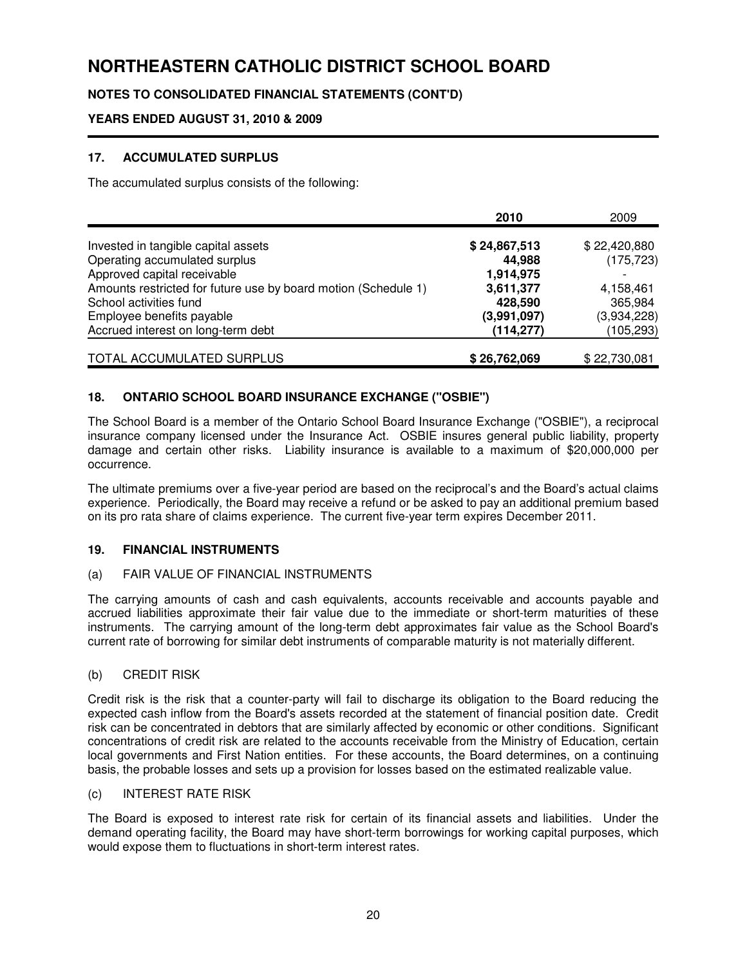## **NOTES TO CONSOLIDATED FINANCIAL STATEMENTS (CONT'D)**

## **YEARS ENDED AUGUST 31, 2010 & 2009**

## **17. ACCUMULATED SURPLUS**

The accumulated surplus consists of the following:

|                                                                | 2010         | 2009         |
|----------------------------------------------------------------|--------------|--------------|
| Invested in tangible capital assets                            | \$24,867,513 | \$22,420,880 |
| Operating accumulated surplus                                  | 44,988       | (175, 723)   |
| Approved capital receivable                                    | 1,914,975    |              |
| Amounts restricted for future use by board motion (Schedule 1) | 3,611,377    | 4,158,461    |
| School activities fund                                         | 428,590      | 365,984      |
| Employee benefits payable                                      | (3,991,097)  | (3,934,228)  |
| Accrued interest on long-term debt                             | (114, 277)   | (105, 293)   |
| TOTAL ACCUMULATED SURPLUS                                      | \$26,762,069 | \$22,730,081 |

## **18. ONTARIO SCHOOL BOARD INSURANCE EXCHANGE ("OSBIE")**

The School Board is a member of the Ontario School Board Insurance Exchange ("OSBIE"), a reciprocal insurance company licensed under the Insurance Act. OSBIE insures general public liability, property damage and certain other risks. Liability insurance is available to a maximum of \$20,000,000 per occurrence.

The ultimate premiums over a five-year period are based on the reciprocal's and the Board's actual claims experience. Periodically, the Board may receive a refund or be asked to pay an additional premium based on its pro rata share of claims experience. The current five-year term expires December 2011.

### **19. FINANCIAL INSTRUMENTS**

### (a) FAIR VALUE OF FINANCIAL INSTRUMENTS

The carrying amounts of cash and cash equivalents, accounts receivable and accounts payable and accrued liabilities approximate their fair value due to the immediate or short-term maturities of these instruments. The carrying amount of the long-term debt approximates fair value as the School Board's current rate of borrowing for similar debt instruments of comparable maturity is not materially different.

### (b) CREDIT RISK

Credit risk is the risk that a counter-party will fail to discharge its obligation to the Board reducing the expected cash inflow from the Board's assets recorded at the statement of financial position date. Credit risk can be concentrated in debtors that are similarly affected by economic or other conditions. Significant concentrations of credit risk are related to the accounts receivable from the Ministry of Education, certain local governments and First Nation entities. For these accounts, the Board determines, on a continuing basis, the probable losses and sets up a provision for losses based on the estimated realizable value.

#### (c) INTEREST RATE RISK

The Board is exposed to interest rate risk for certain of its financial assets and liabilities. Under the demand operating facility, the Board may have short-term borrowings for working capital purposes, which would expose them to fluctuations in short-term interest rates.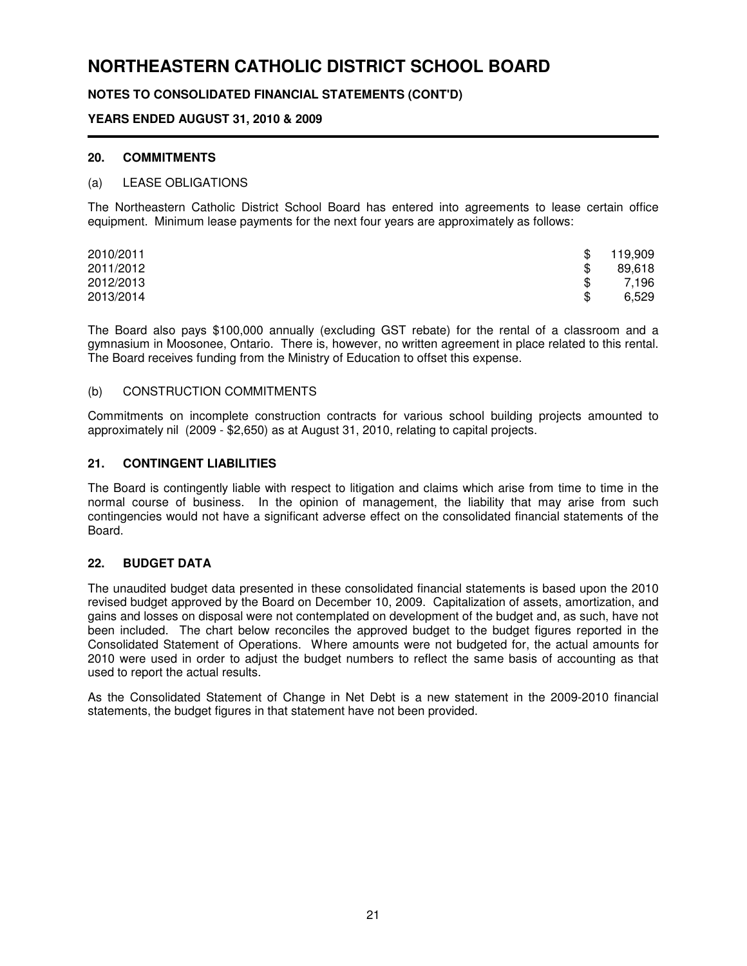## **NOTES TO CONSOLIDATED FINANCIAL STATEMENTS (CONT'D)**

### **YEARS ENDED AUGUST 31, 2010 & 2009**

#### **20. COMMITMENTS**

#### (a) LEASE OBLIGATIONS

The Northeastern Catholic District School Board has entered into agreements to lease certain office equipment. Minimum lease payments for the next four years are approximately as follows:

| 2010/2011 | \$  | 119,909 |
|-----------|-----|---------|
| 2011/2012 | SS. | 89,618  |
| 2012/2013 |     | 7,196   |
| 2013/2014 | \$  | 6,529   |

The Board also pays \$100,000 annually (excluding GST rebate) for the rental of a classroom and a gymnasium in Moosonee, Ontario. There is, however, no written agreement in place related to this rental. The Board receives funding from the Ministry of Education to offset this expense.

#### (b) CONSTRUCTION COMMITMENTS

Commitments on incomplete construction contracts for various school building projects amounted to approximately nil (2009 - \$2,650) as at August 31, 2010, relating to capital projects.

#### **21. CONTINGENT LIABILITIES**

The Board is contingently liable with respect to litigation and claims which arise from time to time in the normal course of business. In the opinion of management, the liability that may arise from such contingencies would not have a significant adverse effect on the consolidated financial statements of the Board.

### **22. BUDGET DATA**

The unaudited budget data presented in these consolidated financial statements is based upon the 2010 revised budget approved by the Board on December 10, 2009. Capitalization of assets, amortization, and gains and losses on disposal were not contemplated on development of the budget and, as such, have not been included. The chart below reconciles the approved budget to the budget figures reported in the Consolidated Statement of Operations. Where amounts were not budgeted for, the actual amounts for 2010 were used in order to adjust the budget numbers to reflect the same basis of accounting as that used to report the actual results.

As the Consolidated Statement of Change in Net Debt is a new statement in the 2009-2010 financial statements, the budget figures in that statement have not been provided.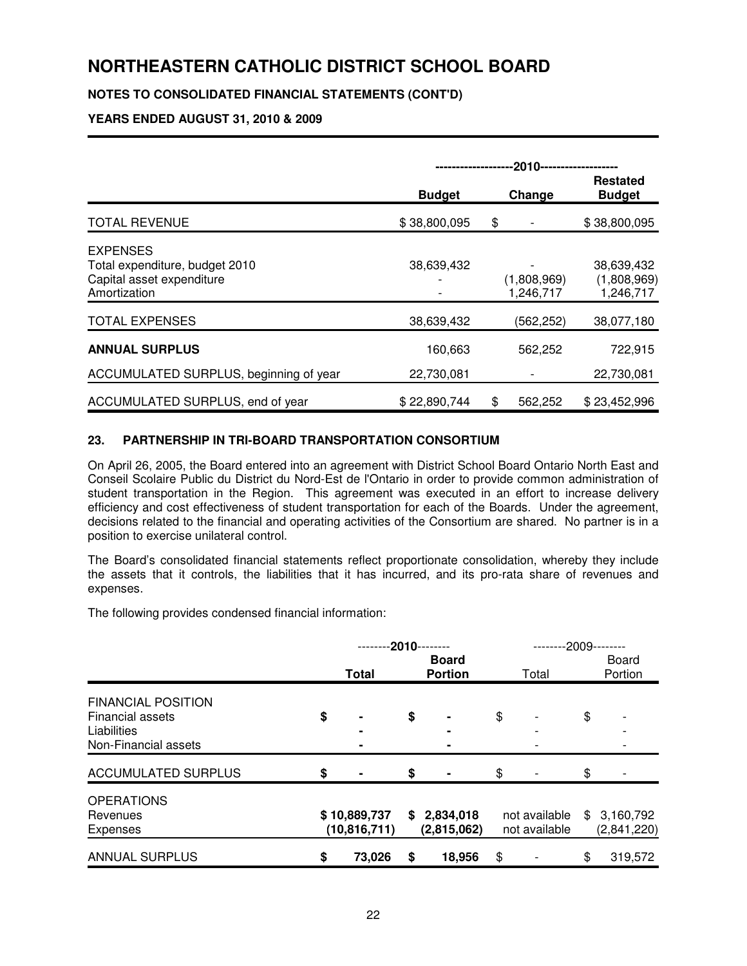## **NOTES TO CONSOLIDATED FINANCIAL STATEMENTS (CONT'D)**

## **YEARS ENDED AUGUST 31, 2010 & 2009**

|                                                                                                | -2010-------------------- |    |                          |                                        |
|------------------------------------------------------------------------------------------------|---------------------------|----|--------------------------|----------------------------------------|
|                                                                                                | <b>Budget</b>             |    | Change                   | Restated<br><b>Budget</b>              |
| <b>TOTAL REVENUE</b>                                                                           | \$38,800,095              | \$ |                          | \$38,800,095                           |
| <b>EXPENSES</b><br>Total expenditure, budget 2010<br>Capital asset expenditure<br>Amortization | 38,639,432                |    | (1,808,969)<br>1,246,717 | 38,639,432<br>(1,808,969)<br>1,246,717 |
| <b>TOTAL EXPENSES</b>                                                                          | 38,639,432                |    | (562, 252)               | 38,077,180                             |
| <b>ANNUAL SURPLUS</b>                                                                          | 160,663                   |    | 562,252                  | 722,915                                |
| ACCUMULATED SURPLUS, beginning of year                                                         | 22,730,081                |    |                          | 22,730,081                             |
| ACCUMULATED SURPLUS, end of year                                                               | \$22,890,744              | \$ | 562,252                  | \$23,452,996                           |

### **23. PARTNERSHIP IN TRI-BOARD TRANSPORTATION CONSORTIUM**

On April 26, 2005, the Board entered into an agreement with District School Board Ontario North East and Conseil Scolaire Public du District du Nord-Est de l'Ontario in order to provide common administration of student transportation in the Region. This agreement was executed in an effort to increase delivery efficiency and cost effectiveness of student transportation for each of the Boards. Under the agreement, decisions related to the financial and operating activities of the Consortium are shared. No partner is in a position to exercise unilateral control.

The Board's consolidated financial statements reflect proportionate consolidation, whereby they include the assets that it controls, the liabilities that it has incurred, and its pro-rata share of revenues and expenses.

The following provides condensed financial information:

|                                                                                             | $-2010$ |                                |    |                                |    |                                | -2009 |                          |  |  |
|---------------------------------------------------------------------------------------------|---------|--------------------------------|----|--------------------------------|----|--------------------------------|-------|--------------------------|--|--|
|                                                                                             |         | <b>Total</b>                   |    | <b>Board</b><br><b>Portion</b> |    | Total                          |       | <b>Board</b><br>Portion  |  |  |
| <b>FINANCIAL POSITION</b><br><b>Financial assets</b><br>Liabilities<br>Non-Financial assets | \$      |                                | \$ | -                              | \$ |                                | \$    |                          |  |  |
| <b>ACCUMULATED SURPLUS</b>                                                                  | \$      |                                | \$ | $\blacksquare$                 | \$ |                                | \$    |                          |  |  |
| <b>OPERATIONS</b><br>Revenues<br><b>Expenses</b>                                            |         | \$10,889,737<br>(10, 816, 711) | \$ | 2,834,018<br>(2,815,062)       |    | not available<br>not available | S     | 3,160,792<br>(2,841,220) |  |  |
| <b>ANNUAL SURPLUS</b>                                                                       | \$      | 73,026                         | \$ | 18,956                         | \$ |                                | \$    | 319,572                  |  |  |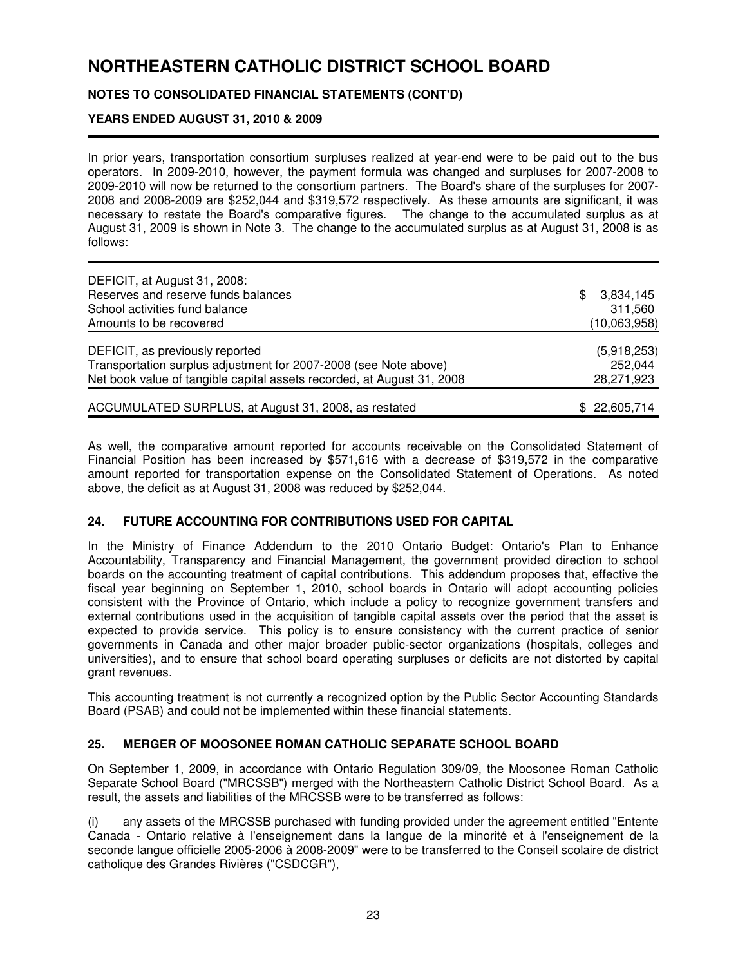## **NOTES TO CONSOLIDATED FINANCIAL STATEMENTS (CONT'D)**

## **YEARS ENDED AUGUST 31, 2010 & 2009**

In prior years, transportation consortium surpluses realized at year-end were to be paid out to the bus operators. In 2009-2010, however, the payment formula was changed and surpluses for 2007-2008 to 2009-2010 will now be returned to the consortium partners. The Board's share of the surpluses for 2007- 2008 and 2008-2009 are \$252,044 and \$319,572 respectively. As these amounts are significant, it was necessary to restate the Board's comparative figures. The change to the accumulated surplus as at August 31, 2009 is shown in Note 3. The change to the accumulated surplus as at August 31, 2008 is as follows:

| DEFICIT, at August 31, 2008:                                           |                  |
|------------------------------------------------------------------------|------------------|
| Reserves and reserve funds balances                                    | 3,834,145<br>\$. |
| School activities fund balance                                         | 311,560          |
| Amounts to be recovered                                                | (10,063,958)     |
| DEFICIT, as previously reported                                        | (5,918,253)      |
| Transportation surplus adjustment for 2007-2008 (see Note above)       | 252,044          |
| Net book value of tangible capital assets recorded, at August 31, 2008 | 28,271,923       |
| ACCUMULATED SURPLUS, at August 31, 2008, as restated                   | \$22,605,714     |

As well, the comparative amount reported for accounts receivable on the Consolidated Statement of Financial Position has been increased by \$571,616 with a decrease of \$319,572 in the comparative amount reported for transportation expense on the Consolidated Statement of Operations. As noted above, the deficit as at August 31, 2008 was reduced by \$252,044.

### **24. FUTURE ACCOUNTING FOR CONTRIBUTIONS USED FOR CAPITAL**

In the Ministry of Finance Addendum to the 2010 Ontario Budget: Ontario's Plan to Enhance Accountability, Transparency and Financial Management, the government provided direction to school boards on the accounting treatment of capital contributions. This addendum proposes that, effective the fiscal year beginning on September 1, 2010, school boards in Ontario will adopt accounting policies consistent with the Province of Ontario, which include a policy to recognize government transfers and external contributions used in the acquisition of tangible capital assets over the period that the asset is expected to provide service. This policy is to ensure consistency with the current practice of senior governments in Canada and other major broader public-sector organizations (hospitals, colleges and universities), and to ensure that school board operating surpluses or deficits are not distorted by capital grant revenues.

This accounting treatment is not currently a recognized option by the Public Sector Accounting Standards Board (PSAB) and could not be implemented within these financial statements.

### **25. MERGER OF MOOSONEE ROMAN CATHOLIC SEPARATE SCHOOL BOARD**

On September 1, 2009, in accordance with Ontario Regulation 309/09, the Moosonee Roman Catholic Separate School Board ("MRCSSB") merged with the Northeastern Catholic District School Board. As a result, the assets and liabilities of the MRCSSB were to be transferred as follows:

(i) any assets of the MRCSSB purchased with funding provided under the agreement entitled "Entente Canada - Ontario relative à l'enseignement dans la langue de la minorité et à l'enseignement de la seconde langue officielle 2005-2006 à 2008-2009" were to be transferred to the Conseil scolaire de district catholique des Grandes Rivières ("CSDCGR"),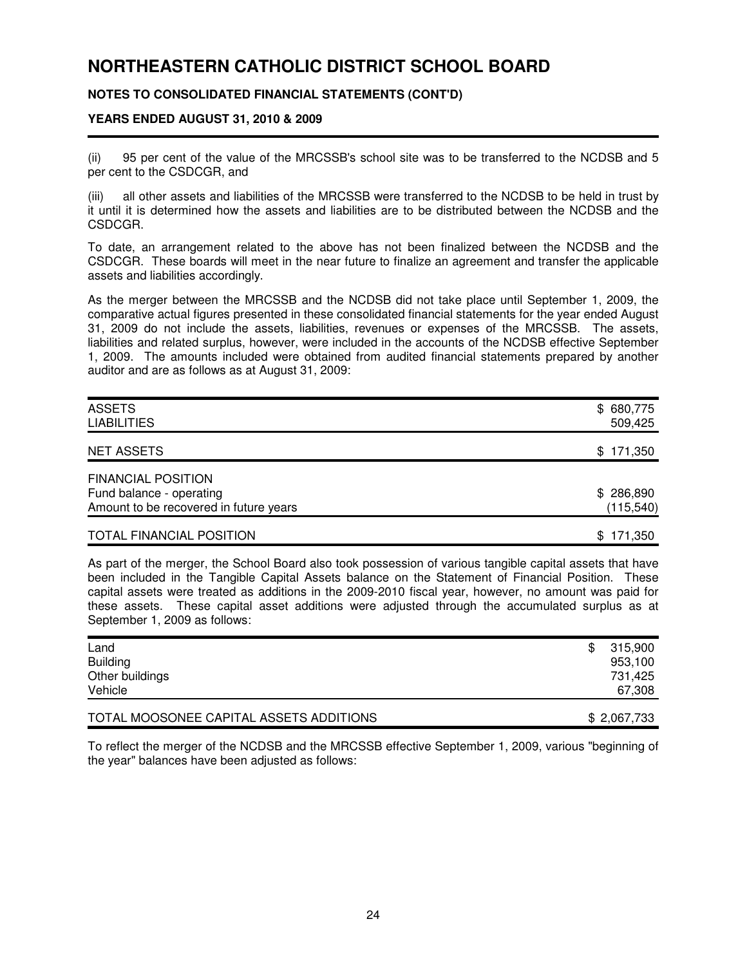## **NOTES TO CONSOLIDATED FINANCIAL STATEMENTS (CONT'D)**

#### **YEARS ENDED AUGUST 31, 2010 & 2009**

(ii) 95 per cent of the value of the MRCSSB's school site was to be transferred to the NCDSB and 5 per cent to the CSDCGR, and

(iii) all other assets and liabilities of the MRCSSB were transferred to the NCDSB to be held in trust by it until it is determined how the assets and liabilities are to be distributed between the NCDSB and the CSDCGR.

To date, an arrangement related to the above has not been finalized between the NCDSB and the CSDCGR. These boards will meet in the near future to finalize an agreement and transfer the applicable assets and liabilities accordingly.

As the merger between the MRCSSB and the NCDSB did not take place until September 1, 2009, the comparative actual figures presented in these consolidated financial statements for the year ended August 31, 2009 do not include the assets, liabilities, revenues or expenses of the MRCSSB. The assets, liabilities and related surplus, however, were included in the accounts of the NCDSB effective September 1, 2009. The amounts included were obtained from audited financial statements prepared by another auditor and are as follows as at August 31, 2009:

| <b>ASSETS</b><br><b>LIABILITIES</b>    | \$680,775<br>509,425 |
|----------------------------------------|----------------------|
| <b>NET ASSETS</b>                      | \$171,350            |
| <b>FINANCIAL POSITION</b>              |                      |
| Fund balance - operating               | \$286,890            |
| Amount to be recovered in future years | (115, 540)           |
| <b>TOTAL FINANCIAL POSITION</b>        | 171,350<br>\$.       |

As part of the merger, the School Board also took possession of various tangible capital assets that have been included in the Tangible Capital Assets balance on the Statement of Financial Position. These capital assets were treated as additions in the 2009-2010 fiscal year, however, no amount was paid for these assets. These capital asset additions were adjusted through the accumulated surplus as at September 1, 2009 as follows:

| Land<br><b>Building</b><br>Other buildings<br>Vehicle | \$<br>315,900<br>953,100<br>731,425<br>67,308 |
|-------------------------------------------------------|-----------------------------------------------|
| TOTAL MOOSONEE CAPITAL ASSETS ADDITIONS               | \$2,067,733                                   |

To reflect the merger of the NCDSB and the MRCSSB effective September 1, 2009, various "beginning of the year" balances have been adjusted as follows: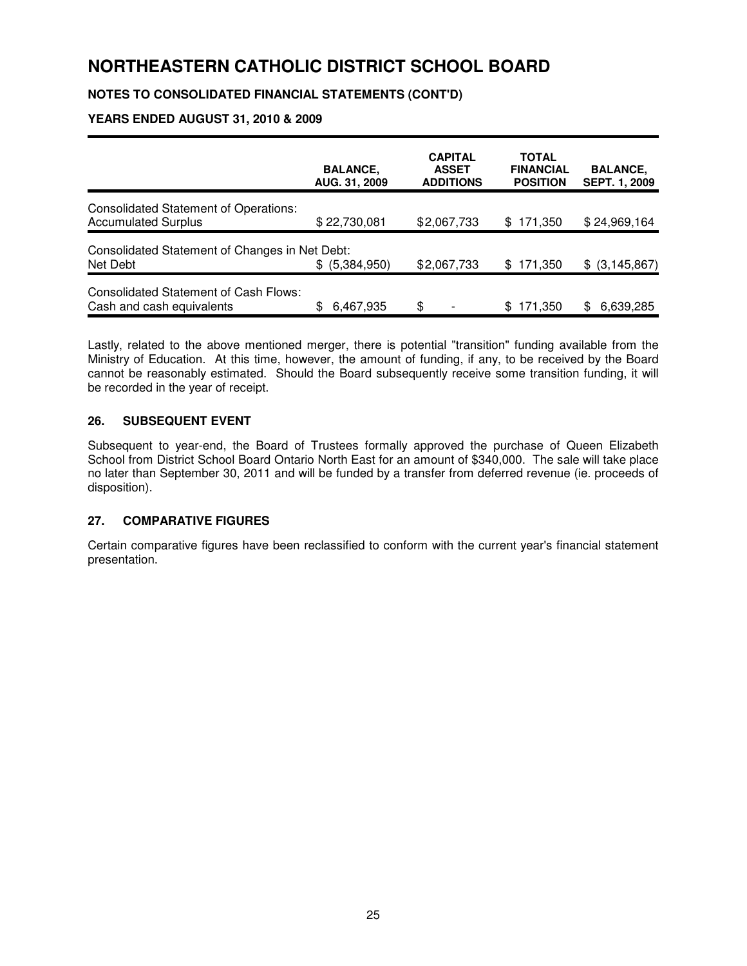## **NOTES TO CONSOLIDATED FINANCIAL STATEMENTS (CONT'D)**

## **YEARS ENDED AUGUST 31, 2010 & 2009**

|                                                                            | <b>BALANCE,</b><br>AUG. 31, 2009 | <b>CAPITAL</b><br><b>ASSET</b><br><b>ADDITIONS</b> | <b>TOTAL</b><br><b>FINANCIAL</b><br><b>POSITION</b> | <b>BALANCE,</b><br><b>SEPT. 1, 2009</b> |
|----------------------------------------------------------------------------|----------------------------------|----------------------------------------------------|-----------------------------------------------------|-----------------------------------------|
| <b>Consolidated Statement of Operations:</b><br><b>Accumulated Surplus</b> | \$22,730,081                     | \$2,067,733                                        | 171,350<br>\$.                                      | \$24,969,164                            |
| Consolidated Statement of Changes in Net Debt:<br>Net Debt                 | \$ (5,384,950)                   | \$2,067,733                                        | 171,350<br>\$.                                      | $$$ (3,145,867)                         |
| Consolidated Statement of Cash Flows:<br>Cash and cash equivalents         | \$<br>6,467,935                  | \$                                                 | 171.350<br>\$.                                      | 6,639,285<br>SS.                        |

Lastly, related to the above mentioned merger, there is potential "transition" funding available from the Ministry of Education. At this time, however, the amount of funding, if any, to be received by the Board cannot be reasonably estimated. Should the Board subsequently receive some transition funding, it will be recorded in the year of receipt.

### **26. SUBSEQUENT EVENT**

Subsequent to year-end, the Board of Trustees formally approved the purchase of Queen Elizabeth School from District School Board Ontario North East for an amount of \$340,000. The sale will take place no later than September 30, 2011 and will be funded by a transfer from deferred revenue (ie. proceeds of disposition).

### **27. COMPARATIVE FIGURES**

Certain comparative figures have been reclassified to conform with the current year's financial statement presentation.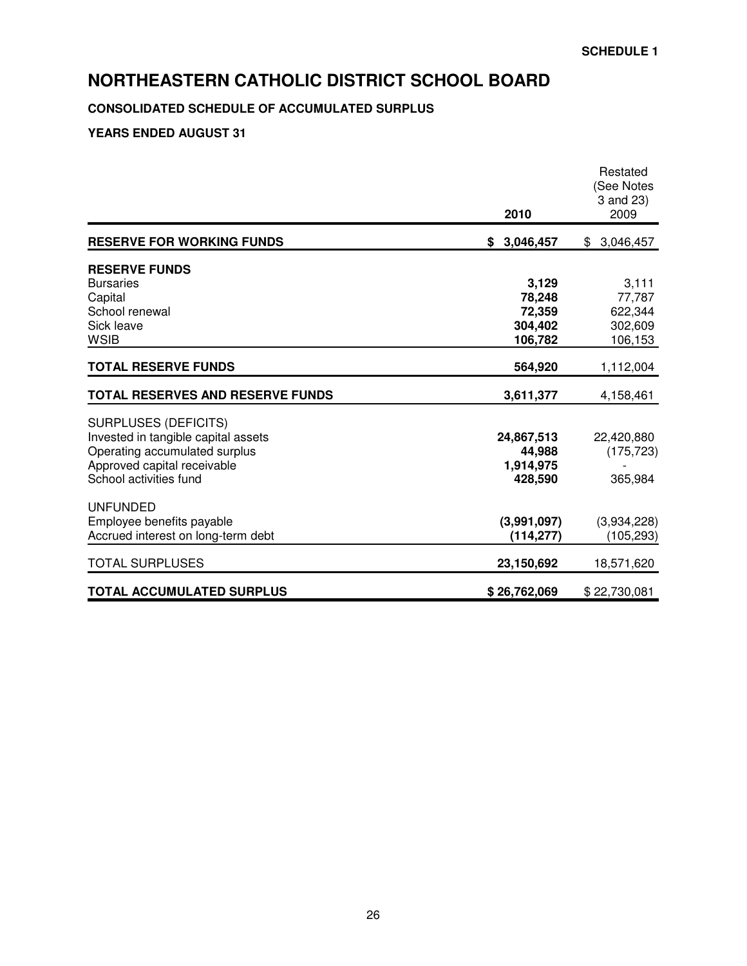## **CONSOLIDATED SCHEDULE OF ACCUMULATED SURPLUS**

|                                         | 2010              | 3 and 23)<br>2009  |
|-----------------------------------------|-------------------|--------------------|
| <b>RESERVE FOR WORKING FUNDS</b>        | 3,046,457<br>S.   | \$3,046,457        |
| <b>RESERVE FUNDS</b>                    |                   |                    |
| <b>Bursaries</b>                        | 3,129             | 3,111              |
| Capital                                 | 78,248            | 77,787             |
| School renewal<br>Sick leave            | 72,359<br>304,402 | 622,344<br>302,609 |
| <b>WSIB</b>                             | 106,782           | 106,153            |
| <b>TOTAL RESERVE FUNDS</b>              | 564,920           | 1,112,004          |
| <b>TOTAL RESERVES AND RESERVE FUNDS</b> | 3,611,377         | 4,158,461          |
| <b>SURPLUSES (DEFICITS)</b>             |                   |                    |
| Invested in tangible capital assets     | 24,867,513        | 22,420,880         |
| Operating accumulated surplus           | 44,988            | (175, 723)         |
| Approved capital receivable             | 1,914,975         |                    |
| School activities fund                  | 428,590           | 365,984            |
| <b>UNFUNDED</b>                         |                   |                    |
| Employee benefits payable               | (3,991,097)       | (3,934,228)        |
| Accrued interest on long-term debt      | (114, 277)        | (105, 293)         |
|                                         | 23,150,692        | 18,571,620         |
| <b>TOTAL SURPLUSES</b>                  |                   |                    |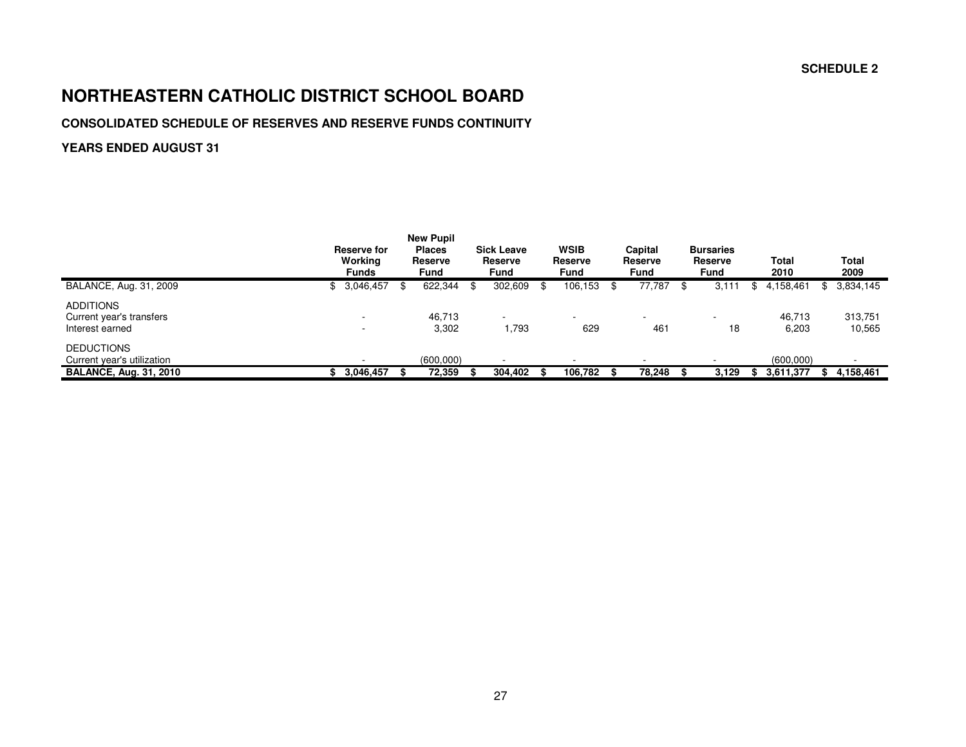#### **SCHEDULE 2**

## **NORTHEASTERN CATHOLIC DISTRICT SCHOOL BOARD**

## **CONSOLIDATED SCHEDULE OF RESERVES AND RESERVE FUNDS CONTINUITY**

|                                                                                  | <b>Reserve for</b><br>Working<br><b>Funds</b> | <b>New Pupil</b><br><b>Places</b><br>Reserve<br><b>Fund</b> | <b>Sick Leave</b><br>Reserve<br>Fund |      | <b>WSIB</b><br>Reserve<br><b>Fund</b> |    | Capital<br>Reserve<br>Fund | <b>Bursaries</b><br>Reserve<br>Fund |     | Total<br>2010          | Total<br>2009     |
|----------------------------------------------------------------------------------|-----------------------------------------------|-------------------------------------------------------------|--------------------------------------|------|---------------------------------------|----|----------------------------|-------------------------------------|-----|------------------------|-------------------|
| BALANCE, Aug. 31, 2009                                                           | \$<br>3,046,457                               | 622,344                                                     | \$<br>302,609                        | - \$ | 106,153                               | -8 | 77,787                     | 3,111                               | \$. | 4,158,461              | \$<br>3,834,145   |
| <b>ADDITIONS</b><br>Current year's transfers<br>Interest earned                  |                                               | 46,713<br>3,302                                             | 1,793                                |      | $\sim$<br>629                         |    | 461                        | 18                                  |     | 46,713<br>6,203        | 313,751<br>10,565 |
| <b>DEDUCTIONS</b><br>Current year's utilization<br><b>BALANCE, Aug. 31, 2010</b> | 3,046,457                                     | (600,000)<br>72,359                                         | 304,402                              |      | 106,782                               |    | 78.248                     | 3.129                               |     | (600,000)<br>3,611,377 | 4,158,461         |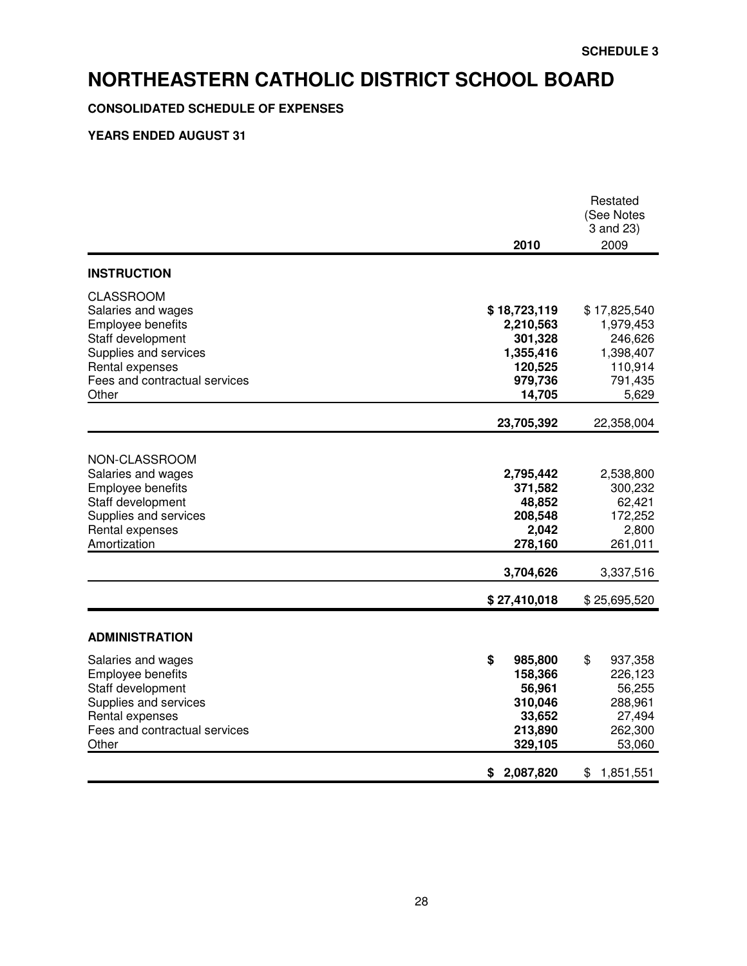## **CONSOLIDATED SCHEDULE OF EXPENSES**

| 2010                                                                              | Restated<br>(See Notes<br>3 and 23)<br>2009                                                     |
|-----------------------------------------------------------------------------------|-------------------------------------------------------------------------------------------------|
|                                                                                   |                                                                                                 |
| \$18,723,119<br>2,210,563<br>301,328<br>1,355,416<br>120,525<br>979,736<br>14,705 | \$17,825,540<br>1,979,453<br>246,626<br>1,398,407<br>110,914<br>791,435<br>5,629                |
|                                                                                   | 22,358,004                                                                                      |
| 2,795,442<br>371,582<br>48,852<br>208,548<br>2,042<br>278,160<br>3,704,626        | 2,538,800<br>300,232<br>62,421<br>172,252<br>2,800<br>261,011<br>3,337,516<br>\$25,695,520      |
|                                                                                   |                                                                                                 |
|                                                                                   |                                                                                                 |
| \$<br>985,800<br>158,366<br>56,961<br>310,046<br>33,652<br>213,890<br>329,105     | \$<br>937,358<br>226,123<br>56,255<br>288,961<br>27,494<br>262,300<br>53,060<br>1,851,551<br>\$ |
|                                                                                   | 23,705,392<br>\$27,410,018<br>\$2,087,820                                                       |